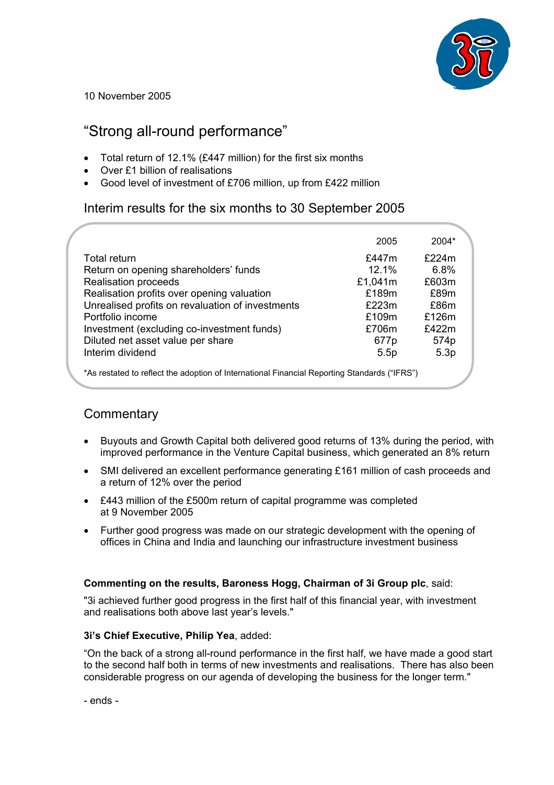

10 November 2005

# "Strong all-round performance"

- Total return of 12.1% (£447 million) for the first six months
- Over £1 billion of realisations
- Good level of investment of £706 million, up from £422 million

Interim results for the six months to 30 September 2005

|                                                                                              | 2005    | 2004*            |  |  |  |  |
|----------------------------------------------------------------------------------------------|---------|------------------|--|--|--|--|
| Total return                                                                                 | £447m   | £224m            |  |  |  |  |
| Return on opening shareholders' funds                                                        | 12.1%   | 6.8%             |  |  |  |  |
| <b>Realisation proceeds</b>                                                                  | £1,041m | £603m            |  |  |  |  |
| Realisation profits over opening valuation                                                   | £189m   | £89m             |  |  |  |  |
| Unrealised profits on revaluation of investments                                             | £223m   | £86m             |  |  |  |  |
| Portfolio income                                                                             | £109m   | £126m            |  |  |  |  |
| Investment (excluding co-investment funds)                                                   | £706m   | £422m            |  |  |  |  |
| Diluted net asset value per share                                                            | 677p    | 574p             |  |  |  |  |
| Interim dividend                                                                             | 5.5p    | 5.3 <sub>p</sub> |  |  |  |  |
| *As restated to reflect the adoption of International Financial Reporting Standards ("IFRS") |         |                  |  |  |  |  |
|                                                                                              |         |                  |  |  |  |  |

# **Commentary**

- Buyouts and Growth Capital both delivered good returns of 13% during the period, with improved performance in the Venture Capital business, which generated an 8% return
- SMI delivered an excellent performance generating £161 million of cash proceeds and a return of 12% over the period
- £443 million of the £500m return of capital programme was completed at 9 November 2005
- Further good progress was made on our strategic development with the opening of offices in China and India and launching our infrastructure investment business

## **Commenting on the results, Baroness Hogg, Chairman of 3i Group plc**, said:

"3i achieved further good progress in the first half of this financial year, with investment and realisations both above last year's levels."

## **3i's Chief Executive, Philip Yea**, added:

"On the back of a strong all-round performance in the first half, we have made a good start to the second half both in terms of new investments and realisations. There has also been considerable progress on our agenda of developing the business for the longer term."

- ends -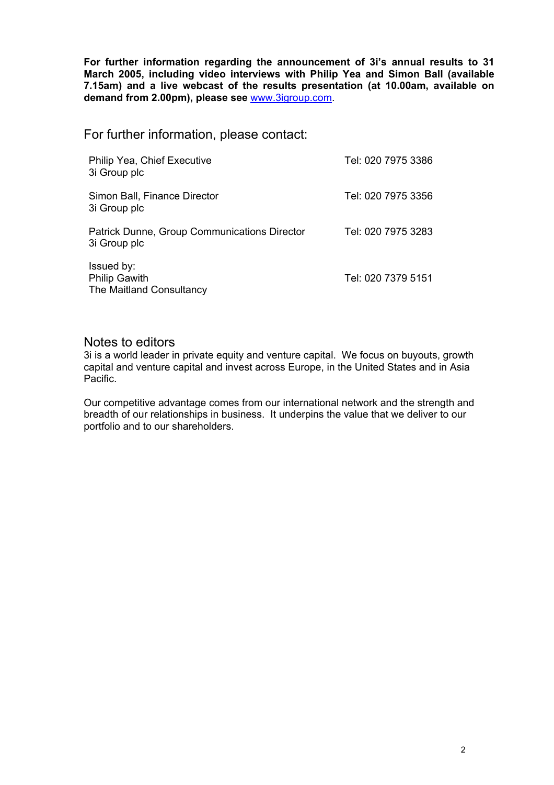**For further information regarding the announcement of 3i's annual results to 31 March 2005, including video interviews with Philip Yea and Simon Ball (available 7.15am) and a live webcast of the results presentation (at 10.00am, available on demand from 2.00pm), please see** www.3igroup.com.

For further information, please contact:

| Philip Yea, Chief Executive<br>3i Group plc                    | Tel: 020 7975 3386 |
|----------------------------------------------------------------|--------------------|
| Simon Ball, Finance Director<br>3i Group plc                   | Tel: 020 7975 3356 |
| Patrick Dunne, Group Communications Director<br>3i Group plc   | Tel: 020 7975 3283 |
| Issued by:<br><b>Philip Gawith</b><br>The Maitland Consultancy | Tel: 020 7379 5151 |

## Notes to editors

3i is a world leader in private equity and venture capital. We focus on buyouts, growth capital and venture capital and invest across Europe, in the United States and in Asia Pacific.

Our competitive advantage comes from our international network and the strength and breadth of our relationships in business. It underpins the value that we deliver to our portfolio and to our shareholders.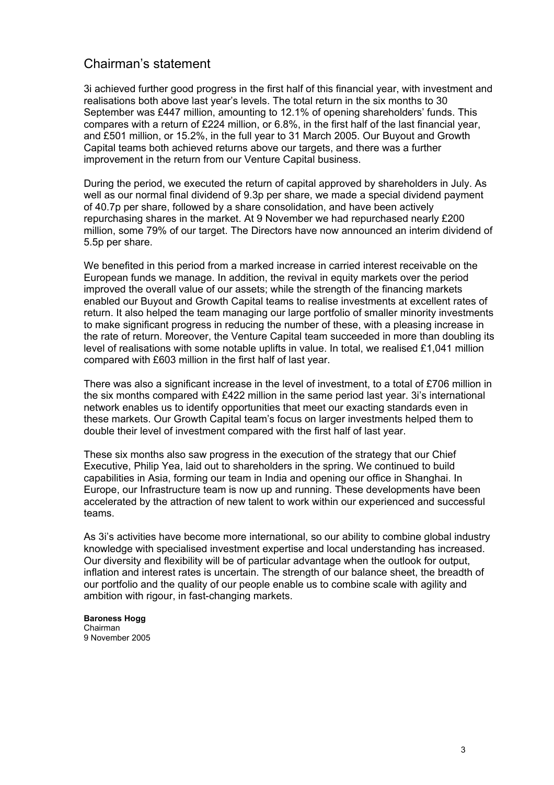## Chairman's statement

3i achieved further good progress in the first half of this financial year, with investment and realisations both above last year's levels. The total return in the six months to 30 September was £447 million, amounting to 12.1% of opening shareholders' funds. This compares with a return of £224 million, or 6.8%, in the first half of the last financial year, and £501 million, or 15.2%, in the full year to 31 March 2005. Our Buyout and Growth Capital teams both achieved returns above our targets, and there was a further improvement in the return from our Venture Capital business.

During the period, we executed the return of capital approved by shareholders in July. As well as our normal final dividend of 9.3p per share, we made a special dividend payment of 40.7p per share, followed by a share consolidation, and have been actively repurchasing shares in the market. At 9 November we had repurchased nearly £200 million, some 79% of our target. The Directors have now announced an interim dividend of 5.5p per share.

We benefited in this period from a marked increase in carried interest receivable on the European funds we manage. In addition, the revival in equity markets over the period improved the overall value of our assets; while the strength of the financing markets enabled our Buyout and Growth Capital teams to realise investments at excellent rates of return. It also helped the team managing our large portfolio of smaller minority investments to make significant progress in reducing the number of these, with a pleasing increase in the rate of return. Moreover, the Venture Capital team succeeded in more than doubling its level of realisations with some notable uplifts in value. In total, we realised £1,041 million compared with £603 million in the first half of last year.

There was also a significant increase in the level of investment, to a total of £706 million in the six months compared with £422 million in the same period last year. 3i's international network enables us to identify opportunities that meet our exacting standards even in these markets. Our Growth Capital team's focus on larger investments helped them to double their level of investment compared with the first half of last year.

These six months also saw progress in the execution of the strategy that our Chief Executive, Philip Yea, laid out to shareholders in the spring. We continued to build capabilities in Asia, forming our team in India and opening our office in Shanghai. In Europe, our Infrastructure team is now up and running. These developments have been accelerated by the attraction of new talent to work within our experienced and successful teams.

As 3i's activities have become more international, so our ability to combine global industry knowledge with specialised investment expertise and local understanding has increased. Our diversity and flexibility will be of particular advantage when the outlook for output, inflation and interest rates is uncertain. The strength of our balance sheet, the breadth of our portfolio and the quality of our people enable us to combine scale with agility and ambition with rigour, in fast-changing markets.

**Baroness Hogg**  Chairman 9 November 2005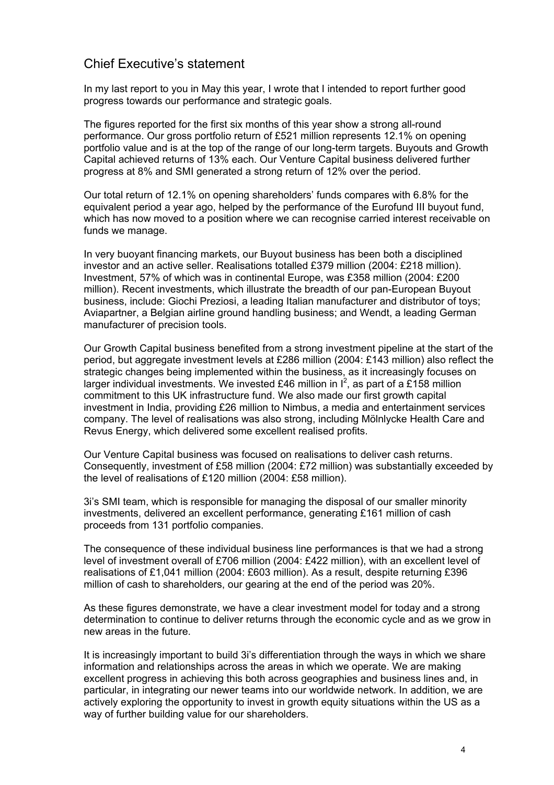## Chief Executive's statement

In my last report to you in May this year, I wrote that I intended to report further good progress towards our performance and strategic goals.

The figures reported for the first six months of this year show a strong all-round performance. Our gross portfolio return of £521 million represents 12.1% on opening portfolio value and is at the top of the range of our long-term targets. Buyouts and Growth Capital achieved returns of 13% each. Our Venture Capital business delivered further progress at 8% and SMI generated a strong return of 12% over the period.

Our total return of 12.1% on opening shareholders' funds compares with 6.8% for the equivalent period a year ago, helped by the performance of the Eurofund III buyout fund, which has now moved to a position where we can recognise carried interest receivable on funds we manage.

In very buoyant financing markets, our Buyout business has been both a disciplined investor and an active seller. Realisations totalled £379 million (2004: £218 million). Investment, 57% of which was in continental Europe, was £358 million (2004: £200 million). Recent investments, which illustrate the breadth of our pan-European Buyout business, include: Giochi Preziosi, a leading Italian manufacturer and distributor of toys; Aviapartner, a Belgian airline ground handling business; and Wendt, a leading German manufacturer of precision tools.

Our Growth Capital business benefited from a strong investment pipeline at the start of the period, but aggregate investment levels at £286 million (2004: £143 million) also reflect the strategic changes being implemented within the business, as it increasingly focuses on larger individual investments. We invested £46 million in  $I^2$ , as part of a £158 million commitment to this UK infrastructure fund. We also made our first growth capital investment in India, providing £26 million to Nimbus, a media and entertainment services company. The level of realisations was also strong, including Mölnlycke Health Care and Revus Energy, which delivered some excellent realised profits.

Our Venture Capital business was focused on realisations to deliver cash returns. Consequently, investment of £58 million (2004: £72 million) was substantially exceeded by the level of realisations of £120 million (2004: £58 million).

3i's SMI team, which is responsible for managing the disposal of our smaller minority investments, delivered an excellent performance, generating £161 million of cash proceeds from 131 portfolio companies.

The consequence of these individual business line performances is that we had a strong level of investment overall of £706 million (2004: £422 million), with an excellent level of realisations of £1,041 million (2004: £603 million). As a result, despite returning £396 million of cash to shareholders, our gearing at the end of the period was 20%.

As these figures demonstrate, we have a clear investment model for today and a strong determination to continue to deliver returns through the economic cycle and as we grow in new areas in the future.

It is increasingly important to build 3i's differentiation through the ways in which we share information and relationships across the areas in which we operate. We are making excellent progress in achieving this both across geographies and business lines and, in particular, in integrating our newer teams into our worldwide network. In addition, we are actively exploring the opportunity to invest in growth equity situations within the US as a way of further building value for our shareholders.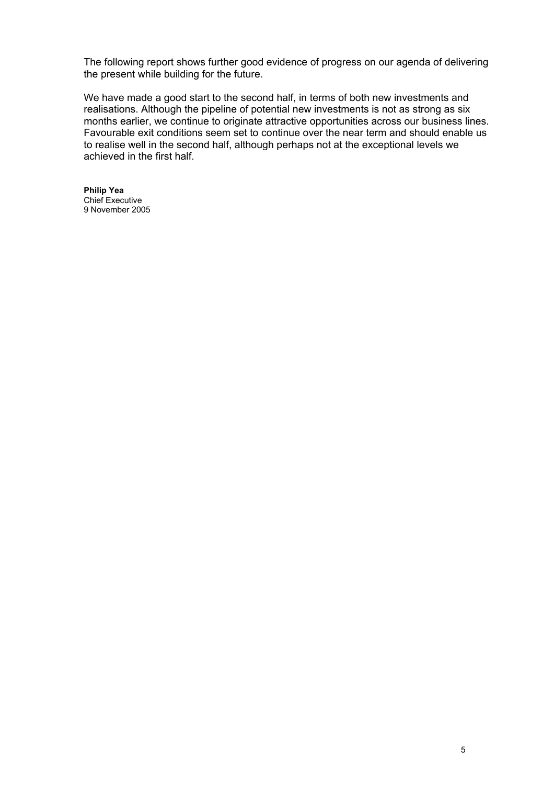The following report shows further good evidence of progress on our agenda of delivering the present while building for the future.

We have made a good start to the second half, in terms of both new investments and realisations. Although the pipeline of potential new investments is not as strong as six months earlier, we continue to originate attractive opportunities across our business lines. Favourable exit conditions seem set to continue over the near term and should enable us to realise well in the second half, although perhaps not at the exceptional levels we achieved in the first half.

**Philip Yea**  Chief Executive 9 November 2005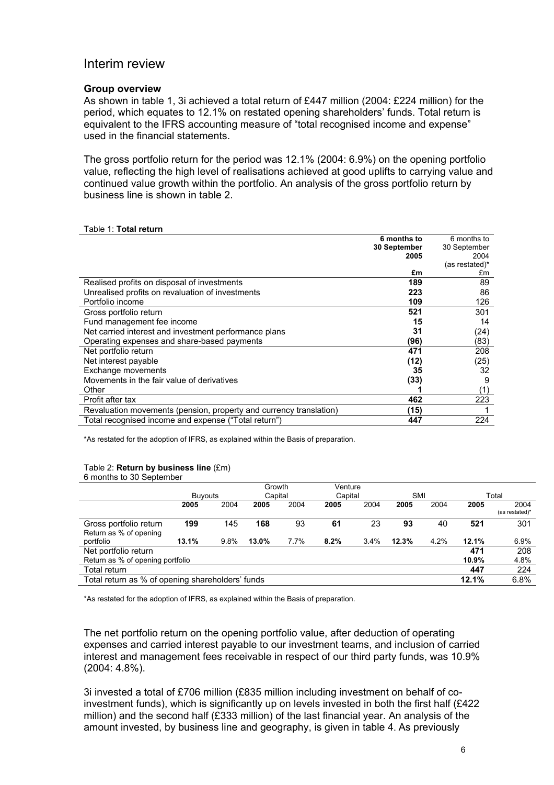## Interim review

### **Group overview**

As shown in table 1, 3i achieved a total return of £447 million (2004: £224 million) for the period, which equates to 12.1% on restated opening shareholders' funds. Total return is equivalent to the IFRS accounting measure of "total recognised income and expense" used in the financial statements.

The gross portfolio return for the period was 12.1% (2004: 6.9%) on the opening portfolio value, reflecting the high level of realisations achieved at good uplifts to carrying value and continued value growth within the portfolio. An analysis of the gross portfolio return by business line is shown in table 2.

### Table 1: **Total return**

|                                                                    | 6 months to  | 6 months to    |
|--------------------------------------------------------------------|--------------|----------------|
|                                                                    | 30 September | 30 September   |
|                                                                    | 2005         | 2004           |
|                                                                    |              | (as restated)* |
|                                                                    | £m           | £m             |
| Realised profits on disposal of investments                        | 189          | 89             |
| Unrealised profits on revaluation of investments                   | 223          | 86             |
| Portfolio income                                                   | 109          | 126            |
| Gross portfolio return                                             | 521          | 301            |
| Fund management fee income                                         | 15           | 14             |
| Net carried interest and investment performance plans              | 31           | (24)           |
| Operating expenses and share-based payments                        | (96)         | (83)           |
| Net portfolio return                                               | 471          | 208            |
| Net interest payable                                               | (12)         | (25)           |
| Exchange movements                                                 | 35           | 32             |
| Movements in the fair value of derivatives                         | (33)         | 9              |
| Other                                                              |              | (1)            |
| Profit after tax                                                   | 462          | 223            |
| Revaluation movements (pension, property and currency translation) | (15)         |                |
| Total recognised income and expense ("Total return")               | 447          | 224            |

\*As restated for the adoption of IFRS, as explained within the Basis of preparation.

#### Table 2: **Return by business line** (£m)

6 months to 30 September

|                                                           |                |      | Growth  |      | Venture |      |       |      |       |                        |
|-----------------------------------------------------------|----------------|------|---------|------|---------|------|-------|------|-------|------------------------|
|                                                           | <b>Buvouts</b> |      | Capital |      | Capital |      | SMI   |      |       | Total                  |
|                                                           | 2005           | 2004 | 2005    | 2004 | 2005    | 2004 | 2005  | 2004 | 2005  | 2004<br>(as restated)* |
| Gross portfolio return<br>Return as % of opening          | 199            | 145  | 168     | 93   | 61      | 23   | 93    | 40   | 521   | 301                    |
| portfolio                                                 | 13.1%          | 9.8% | 13.0%   | 7.7% | 8.2%    | 3.4% | 12.3% | 4.2% | 12.1% | 6.9%                   |
| Net portfolio return                                      |                |      |         |      |         |      |       |      | 471   | 208                    |
| Return as % of opening portfolio                          |                |      |         |      |         |      |       |      | 10.9% | 4.8%                   |
| Total return                                              |                |      |         |      |         |      |       |      | 447   | 224                    |
| 12.1%<br>Total return as % of opening shareholders' funds |                |      |         |      |         | 6.8% |       |      |       |                        |

\*As restated for the adoption of IFRS, as explained within the Basis of preparation.

The net portfolio return on the opening portfolio value, after deduction of operating expenses and carried interest payable to our investment teams, and inclusion of carried interest and management fees receivable in respect of our third party funds, was 10.9% (2004: 4.8%).

3i invested a total of £706 million (£835 million including investment on behalf of coinvestment funds), which is significantly up on levels invested in both the first half  $(E422)$ million) and the second half (£333 million) of the last financial year. An analysis of the amount invested, by business line and geography, is given in table 4. As previously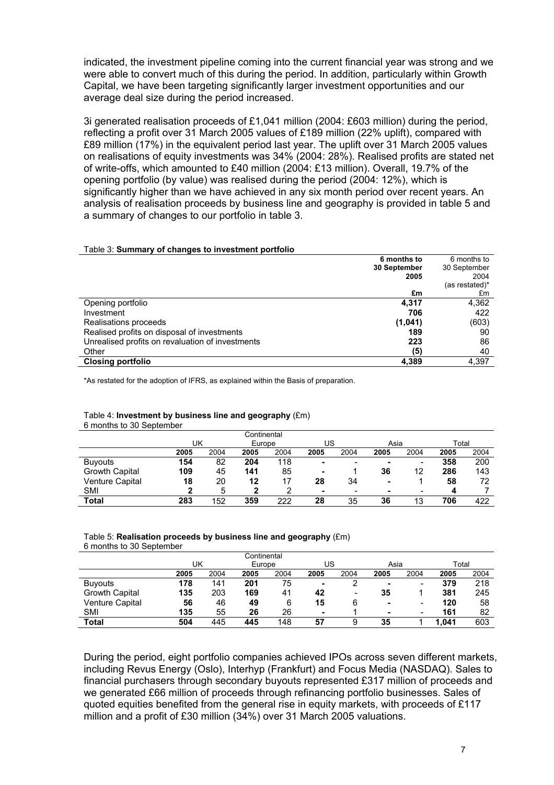indicated, the investment pipeline coming into the current financial year was strong and we were able to convert much of this during the period. In addition, particularly within Growth Capital, we have been targeting significantly larger investment opportunities and our average deal size during the period increased.

3i generated realisation proceeds of £1,041 million (2004: £603 million) during the period, reflecting a profit over 31 March 2005 values of £189 million (22% uplift), compared with £89 million (17%) in the equivalent period last year. The uplift over 31 March 2005 values on realisations of equity investments was 34% (2004: 28%). Realised profits are stated net of write-offs, which amounted to £40 million (2004: £13 million). Overall, 19.7% of the opening portfolio (by value) was realised during the period (2004: 12%), which is significantly higher than we have achieved in any six month period over recent years. An analysis of realisation proceeds by business line and geography is provided in table 5 and a summary of changes to our portfolio in table 3.

#### Table 3: **Summary of changes to investment portfolio**

|                                                  | 6 months to  | 6 months to    |
|--------------------------------------------------|--------------|----------------|
|                                                  | 30 September | 30 September   |
|                                                  | 2005         | 2004           |
|                                                  |              | (as restated)* |
|                                                  | £m           | £m             |
| Opening portfolio                                | 4.317        | 4,362          |
| Investment                                       | 706          | 422            |
| Realisations proceeds                            | (1,041)      | (603)          |
| Realised profits on disposal of investments      | 189          | 90             |
| Unrealised profits on revaluation of investments | 223          | 86             |
| Other                                            | (5)          | 40             |
| <b>Closing portfolio</b>                         | 4,389        | 4.397          |

\*As restated for the adoption of IFRS, as explained within the Basis of preparation.

#### Table 4: **Investment by business line and geography** (£m)

#### 6 months to 30 September

|                        |      |      | Continental |      |      |      |                |      |       |      |
|------------------------|------|------|-------------|------|------|------|----------------|------|-------|------|
|                        | UK   |      | Europe      |      | US   |      | Asia           |      | Total |      |
|                        | 2005 | 2004 | 2005        | 2004 | 2005 | 2004 | 2005           | 2004 | 2005  | 2004 |
| <b>Buyouts</b>         | 154  | 82   | 204         | 118  |      |      |                | -    | 358   | 200  |
| Growth Capital         | 109  | 45   | 141         | 85   | -    |      | 36             | 12   | 286   | 143  |
| <b>Venture Capital</b> | 18   | 20   | 12          | 17   | 28   | 34   | $\blacksquare$ |      | 58    | 72   |
| SMI                    |      | 5    |             |      |      |      |                | -    |       |      |
| <b>Total</b>           | 283  | 152  | 359         | 222  | 28   | 35   | 36             | 13   | 706   | 422  |

#### Table 5: **Realisation proceeds by business line and geography** (£m)

6 months to 30 September

|                        |      |      | Continental |      |      |      |                          |      |       |      |
|------------------------|------|------|-------------|------|------|------|--------------------------|------|-------|------|
|                        | UK   |      | Europe      |      | US   |      | Asia                     |      | Total |      |
|                        | 2005 | 2004 | 2005        | 2004 | 2005 | 2004 | 2005                     | 2004 | 2005  | 2004 |
| <b>Buyouts</b>         | 178  | 141  | 201         | 75   | ۰    |      | $\overline{\phantom{a}}$ | -    | 379   | 218  |
| Growth Capital         | 135  | 203  | 169         | 41   | 42   | -    | 35                       |      | 381   | 245  |
| <b>Venture Capital</b> | 56   | 46   | 49          | 6    | 15   | 6    | $\overline{\phantom{a}}$ | -    | 120   | 58   |
| SMI                    | 135  | 55   | 26          | 26   | ۰    |      | ۰                        | -    | 161   | 82   |
| <b>Total</b>           | 504  | 445  | 445         | 148  | 57   | 9    | 35                       |      | 1.041 | 603  |

During the period, eight portfolio companies achieved IPOs across seven different markets, including Revus Energy (Oslo), Interhyp (Frankfurt) and Focus Media (NASDAQ). Sales to financial purchasers through secondary buyouts represented £317 million of proceeds and we generated £66 million of proceeds through refinancing portfolio businesses. Sales of quoted equities benefited from the general rise in equity markets, with proceeds of £117 million and a profit of £30 million (34%) over 31 March 2005 valuations.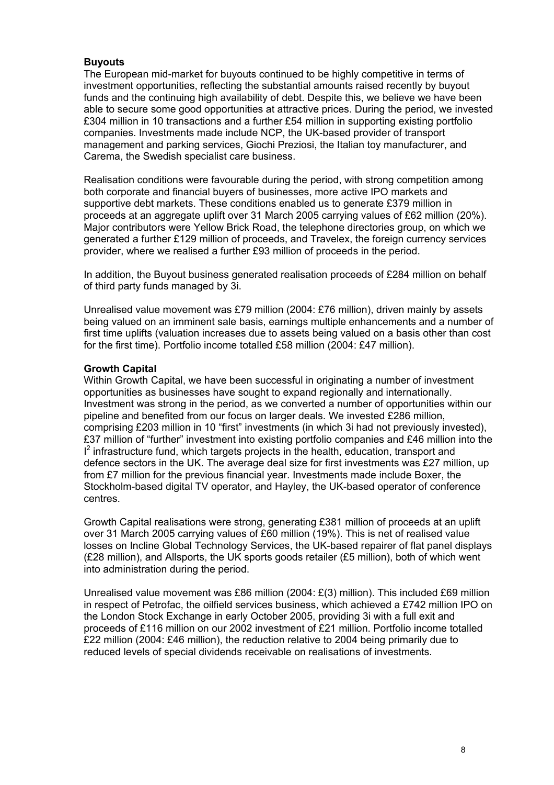## **Buyouts**

The European mid-market for buyouts continued to be highly competitive in terms of investment opportunities, reflecting the substantial amounts raised recently by buyout funds and the continuing high availability of debt. Despite this, we believe we have been able to secure some good opportunities at attractive prices. During the period, we invested £304 million in 10 transactions and a further £54 million in supporting existing portfolio companies. Investments made include NCP, the UK-based provider of transport management and parking services, Giochi Preziosi, the Italian toy manufacturer, and Carema, the Swedish specialist care business.

Realisation conditions were favourable during the period, with strong competition among both corporate and financial buyers of businesses, more active IPO markets and supportive debt markets. These conditions enabled us to generate £379 million in proceeds at an aggregate uplift over 31 March 2005 carrying values of £62 million (20%). Major contributors were Yellow Brick Road, the telephone directories group, on which we generated a further £129 million of proceeds, and Travelex, the foreign currency services provider, where we realised a further £93 million of proceeds in the period.

In addition, the Buyout business generated realisation proceeds of £284 million on behalf of third party funds managed by 3i.

Unrealised value movement was £79 million (2004: £76 million), driven mainly by assets being valued on an imminent sale basis, earnings multiple enhancements and a number of first time uplifts (valuation increases due to assets being valued on a basis other than cost for the first time). Portfolio income totalled £58 million (2004: £47 million).

### **Growth Capital**

Within Growth Capital, we have been successful in originating a number of investment opportunities as businesses have sought to expand regionally and internationally. Investment was strong in the period, as we converted a number of opportunities within our pipeline and benefited from our focus on larger deals. We invested £286 million, comprising £203 million in 10 "first" investments (in which 3i had not previously invested), £37 million of "further" investment into existing portfolio companies and £46 million into the <sup>2</sup> infrastructure fund, which targets projects in the health, education, transport and defence sectors in the UK. The average deal size for first investments was £27 million, up from £7 million for the previous financial year. Investments made include Boxer, the Stockholm-based digital TV operator, and Hayley, the UK-based operator of conference centres.

Growth Capital realisations were strong, generating £381 million of proceeds at an uplift over 31 March 2005 carrying values of £60 million (19%). This is net of realised value losses on Incline Global Technology Services, the UK-based repairer of flat panel displays (£28 million), and Allsports, the UK sports goods retailer (£5 million), both of which went into administration during the period.

Unrealised value movement was £86 million (2004: £(3) million). This included £69 million in respect of Petrofac, the oilfield services business, which achieved a £742 million IPO on the London Stock Exchange in early October 2005, providing 3i with a full exit and proceeds of £116 million on our 2002 investment of £21 million. Portfolio income totalled £22 million (2004: £46 million), the reduction relative to 2004 being primarily due to reduced levels of special dividends receivable on realisations of investments.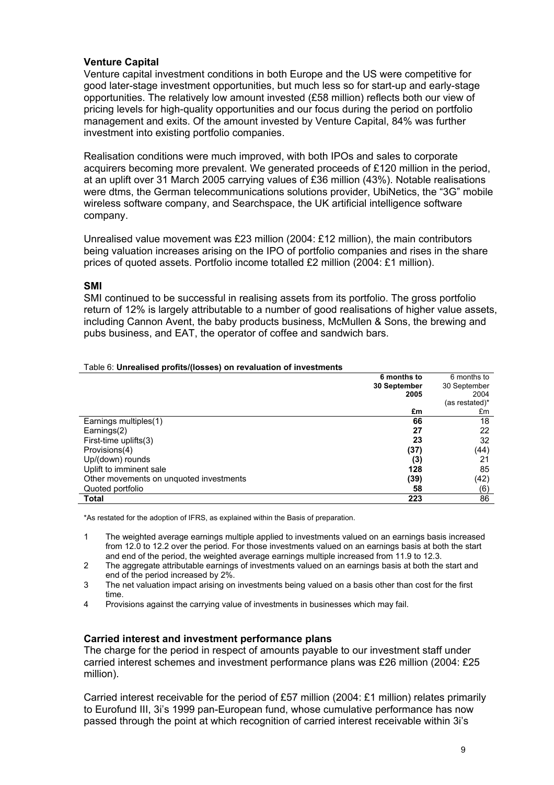## **Venture Capital**

Venture capital investment conditions in both Europe and the US were competitive for good later-stage investment opportunities, but much less so for start-up and early-stage opportunities. The relatively low amount invested (£58 million) reflects both our view of pricing levels for high-quality opportunities and our focus during the period on portfolio management and exits. Of the amount invested by Venture Capital, 84% was further investment into existing portfolio companies.

Realisation conditions were much improved, with both IPOs and sales to corporate acquirers becoming more prevalent. We generated proceeds of £120 million in the period, at an uplift over 31 March 2005 carrying values of £36 million (43%). Notable realisations were dtms, the German telecommunications solutions provider, UbiNetics, the "3G" mobile wireless software company, and Searchspace, the UK artificial intelligence software company.

Unrealised value movement was £23 million (2004: £12 million), the main contributors being valuation increases arising on the IPO of portfolio companies and rises in the share prices of quoted assets. Portfolio income totalled £2 million (2004: £1 million).

### **SMI**

SMI continued to be successful in realising assets from its portfolio. The gross portfolio return of 12% is largely attributable to a number of good realisations of higher value assets, including Cannon Avent, the baby products business, McMullen & Sons, the brewing and pubs business, and EAT, the operator of coffee and sandwich bars.

|                                         | 6 months to  | 6 months to      |
|-----------------------------------------|--------------|------------------|
|                                         | 30 September | 30 September     |
|                                         | 2005         | 2004             |
|                                         |              | $(as restated)*$ |
|                                         | £m           | £m               |
| Earnings multiples(1)                   | 66           | 18               |
| Earnings(2)                             | 27           | 22               |
| First-time uplifts(3)                   | 23           | 32               |
| Provisions(4)                           | (37)         | (44)             |
| Up/(down) rounds                        | (3)          | 21               |
| Uplift to imminent sale                 | 128          | 85               |
| Other movements on unquoted investments | (39)         | (42)             |
| Quoted portfolio                        | 58           | (6)              |
| <b>Total</b>                            | 223          | 86               |

#### Table 6: **Unrealised profits/(losses) on revaluation of investments**

\*As restated for the adoption of IFRS, as explained within the Basis of preparation.

- 1 The weighted average earnings multiple applied to investments valued on an earnings basis increased from 12.0 to 12.2 over the period. For those investments valued on an earnings basis at both the start and end of the period, the weighted average earnings multiple increased from 11.9 to 12.3.
- 2 The aggregate attributable earnings of investments valued on an earnings basis at both the start and end of the period increased by 2%.
- 3 The net valuation impact arising on investments being valued on a basis other than cost for the first time.
- 4 Provisions against the carrying value of investments in businesses which may fail.

#### **Carried interest and investment performance plans**

The charge for the period in respect of amounts payable to our investment staff under carried interest schemes and investment performance plans was £26 million (2004: £25 million).

Carried interest receivable for the period of £57 million (2004: £1 million) relates primarily to Eurofund III, 3i's 1999 pan-European fund, whose cumulative performance has now passed through the point at which recognition of carried interest receivable within 3i's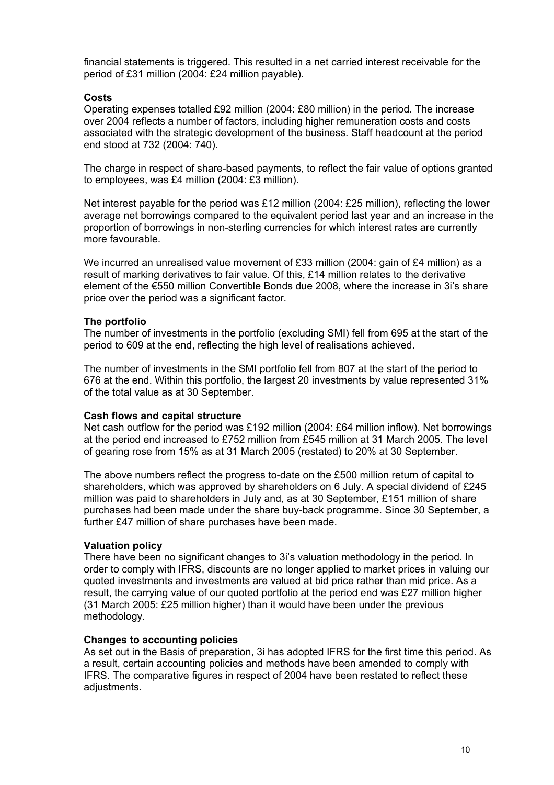financial statements is triggered. This resulted in a net carried interest receivable for the period of £31 million (2004: £24 million payable).

### **Costs**

Operating expenses totalled £92 million (2004: £80 million) in the period. The increase over 2004 reflects a number of factors, including higher remuneration costs and costs associated with the strategic development of the business. Staff headcount at the period end stood at 732 (2004: 740).

The charge in respect of share-based payments, to reflect the fair value of options granted to employees, was £4 million (2004: £3 million).

Net interest payable for the period was £12 million (2004: £25 million), reflecting the lower average net borrowings compared to the equivalent period last year and an increase in the proportion of borrowings in non-sterling currencies for which interest rates are currently more favourable.

We incurred an unrealised value movement of £33 million (2004: gain of £4 million) as a result of marking derivatives to fair value. Of this, £14 million relates to the derivative element of the €550 million Convertible Bonds due 2008, where the increase in 3i's share price over the period was a significant factor.

### **The portfolio**

The number of investments in the portfolio (excluding SMI) fell from 695 at the start of the period to 609 at the end, reflecting the high level of realisations achieved.

The number of investments in the SMI portfolio fell from 807 at the start of the period to 676 at the end. Within this portfolio, the largest 20 investments by value represented 31% of the total value as at 30 September.

#### **Cash flows and capital structure**

Net cash outflow for the period was £192 million (2004: £64 million inflow). Net borrowings at the period end increased to £752 million from £545 million at 31 March 2005. The level of gearing rose from 15% as at 31 March 2005 (restated) to 20% at 30 September.

The above numbers reflect the progress to-date on the £500 million return of capital to shareholders, which was approved by shareholders on 6 July. A special dividend of £245 million was paid to shareholders in July and, as at 30 September, £151 million of share purchases had been made under the share buy-back programme. Since 30 September, a further £47 million of share purchases have been made.

## **Valuation policy**

There have been no significant changes to 3i's valuation methodology in the period. In order to comply with IFRS, discounts are no longer applied to market prices in valuing our quoted investments and investments are valued at bid price rather than mid price. As a result, the carrying value of our quoted portfolio at the period end was £27 million higher (31 March 2005: £25 million higher) than it would have been under the previous methodology.

## **Changes to accounting policies**

As set out in the Basis of preparation, 3i has adopted IFRS for the first time this period. As a result, certain accounting policies and methods have been amended to comply with IFRS. The comparative figures in respect of 2004 have been restated to reflect these adjustments.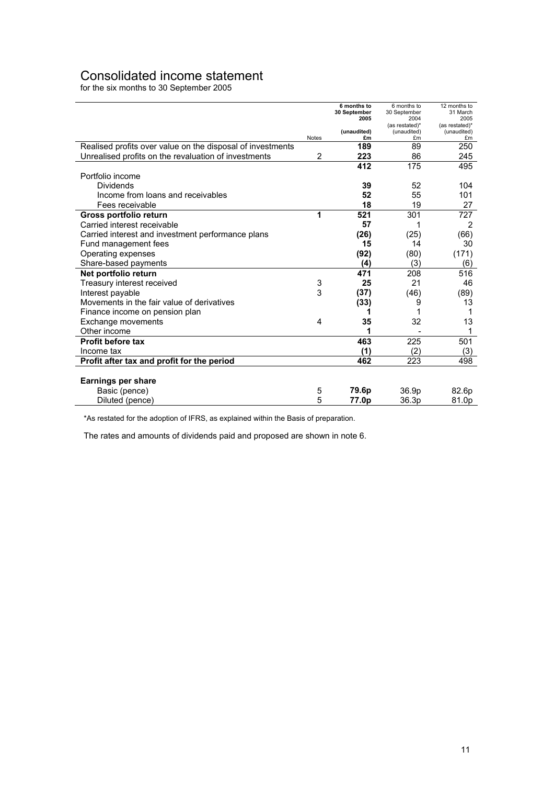## Consolidated income statement

for the six months to 30 September 2005

|                                                            |       | 6 months to<br>30 September<br>2005<br>(unaudited) | 6 months to<br>30 September<br>2004<br>(as restated)*<br>(unaudited) | 12 months to<br>31 March<br>2005<br>(as restated)*<br>(unaudited) |
|------------------------------------------------------------|-------|----------------------------------------------------|----------------------------------------------------------------------|-------------------------------------------------------------------|
|                                                            | Notes | £m                                                 | £m                                                                   | £m                                                                |
| Realised profits over value on the disposal of investments |       | 189                                                | 89                                                                   | 250                                                               |
| Unrealised profits on the revaluation of investments       | 2     | 223                                                | 86                                                                   | 245                                                               |
|                                                            |       | 412                                                | 175                                                                  | 495                                                               |
| Portfolio income                                           |       |                                                    |                                                                      |                                                                   |
| Dividends                                                  |       | 39                                                 | 52                                                                   | 104                                                               |
| Income from loans and receivables                          |       | 52                                                 | 55                                                                   | 101                                                               |
| Fees receivable                                            |       | 18                                                 | 19                                                                   | 27                                                                |
| Gross portfolio return                                     | 1     | 521                                                | 301                                                                  | 727                                                               |
| Carried interest receivable                                |       | 57                                                 | 1                                                                    | 2                                                                 |
| Carried interest and investment performance plans          |       | (26)                                               | (25)                                                                 | (66)                                                              |
| Fund management fees                                       |       | 15                                                 | 14                                                                   | 30                                                                |
| Operating expenses                                         |       | (92)                                               | (80)                                                                 | (171)                                                             |
| Share-based payments                                       |       | (4)                                                | (3)                                                                  | (6)                                                               |
| Net portfolio return                                       |       | 471                                                | 208                                                                  | 516                                                               |
| Treasury interest received                                 | 3     | 25                                                 | 21                                                                   | 46                                                                |
| Interest payable                                           | 3     | (37)                                               | (46)                                                                 | (89)                                                              |
| Movements in the fair value of derivatives                 |       | (33)                                               | 9                                                                    | 13                                                                |
| Finance income on pension plan                             |       |                                                    |                                                                      | 1                                                                 |
| Exchange movements                                         | 4     | 35                                                 | 32                                                                   | 13                                                                |
| Other income                                               |       | 1                                                  |                                                                      | 1                                                                 |
| <b>Profit before tax</b>                                   |       | 463                                                | 225                                                                  | 501                                                               |
| Income tax                                                 |       | (1)                                                | (2)                                                                  | (3)                                                               |
| Profit after tax and profit for the period                 |       | 462                                                | 223                                                                  | 498                                                               |
|                                                            |       |                                                    |                                                                      |                                                                   |
| Earnings per share                                         |       |                                                    |                                                                      |                                                                   |
| Basic (pence)                                              | 5     | 79.6p                                              | 36.9 <sub>p</sub>                                                    | 82.6p                                                             |
| Diluted (pence)                                            | 5     | 77.0p                                              | 36.3p                                                                | 81.0p                                                             |

\*As restated for the adoption of IFRS, as explained within the Basis of preparation.

The rates and amounts of dividends paid and proposed are shown in note 6.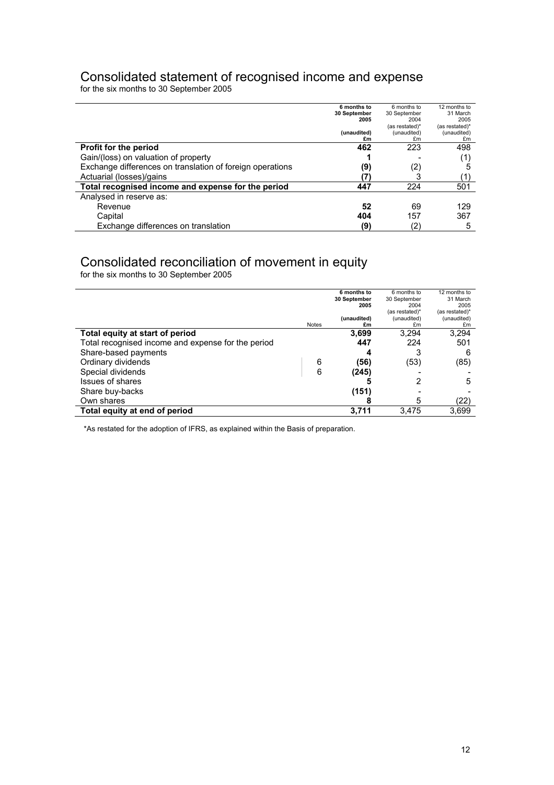## Consolidated statement of recognised income and expense

for the six months to 30 September 2005

|                                                           | 6 months to<br>30 September<br>2005<br>(unaudited) | 6 months to<br>30 September<br>2004<br>(as restated)*<br>(unaudited) | 12 months to<br>31 March<br>2005<br>(as restated)*<br>(unaudited) |
|-----------------------------------------------------------|----------------------------------------------------|----------------------------------------------------------------------|-------------------------------------------------------------------|
|                                                           | £m                                                 | £m                                                                   | £m                                                                |
| Profit for the period                                     | 462                                                | 223                                                                  | 498                                                               |
| Gain/(loss) on valuation of property                      |                                                    |                                                                      | (1)                                                               |
| Exchange differences on translation of foreign operations | (9)                                                | (2)                                                                  | 5                                                                 |
| Actuarial (losses)/gains                                  | 7                                                  | 3                                                                    |                                                                   |
| Total recognised income and expense for the period        | 447                                                | 224                                                                  | 501                                                               |
| Analysed in reserve as:                                   |                                                    |                                                                      |                                                                   |
| Revenue                                                   | 52                                                 | 69                                                                   | 129                                                               |
| Capital                                                   | 404                                                | 157                                                                  | 367                                                               |
| Exchange differences on translation                       | (9)                                                | (2)                                                                  | 5                                                                 |

# Consolidated reconciliation of movement in equity

for the six months to 30 September 2005

|                                                    |              | 6 months to  | 6 months to    | 12 months to   |
|----------------------------------------------------|--------------|--------------|----------------|----------------|
|                                                    |              | 30 September | 30 September   | 31 March       |
|                                                    |              | 2005         | 2004           | 2005           |
|                                                    |              |              | (as restated)* | (as restated)* |
|                                                    |              | (unaudited)  | (unaudited)    | (unaudited)    |
|                                                    | <b>Notes</b> | £m           | £m             | £m             |
| Total equity at start of period                    |              | 3,699        | 3.294          | 3,294          |
| Total recognised income and expense for the period |              | 447          | 224            | 501            |
| Share-based payments                               |              | 4            | 3              | 6              |
| Ordinary dividends                                 | 6            | (56)         | (53)           | (85)           |
| Special dividends                                  | 6            | (245)        |                |                |
| Issues of shares                                   |              |              | 2              | 5              |
| Share buy-backs                                    |              | (151)        |                |                |
| Own shares                                         |              | 8            | 5              | (22)           |
| Total equity at end of period                      |              | 3,711        | 3.475          | 3,699          |

\*As restated for the adoption of IFRS, as explained within the Basis of preparation.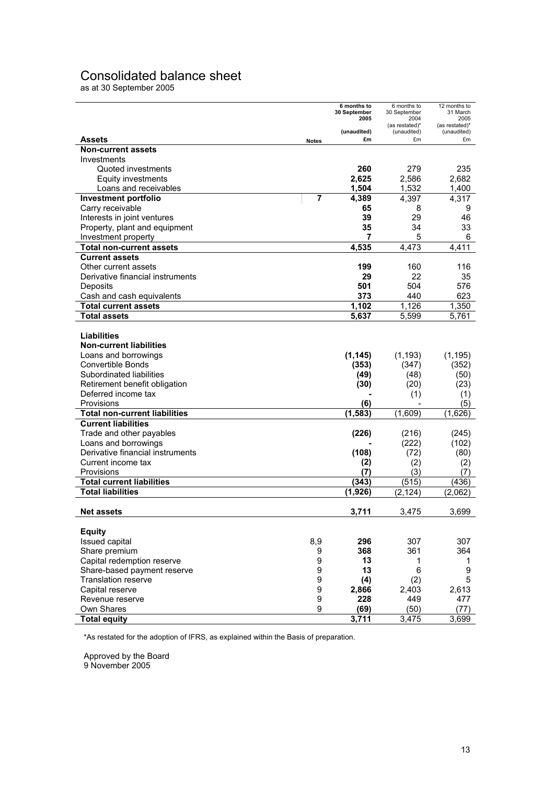## Consolidated balance sheet

as at 30 September 2005

|                                      |       | 6 months to  | 6 months to            | 12 months to           |
|--------------------------------------|-------|--------------|------------------------|------------------------|
|                                      |       | 30 September | 30 September           | 31 March               |
|                                      |       | 2005         | 2004<br>(as restated)* | 2005<br>(as restated)* |
|                                      |       | (unaudited)  | (unaudited)            | (unaudited)            |
| Assets                               | Notes | £m           | £m                     | £m                     |
| <b>Non-current assets</b>            |       |              |                        |                        |
| Investments                          |       |              |                        |                        |
| Quoted investments                   |       | 260          | 279                    | 235                    |
| Equity investments                   |       | 2,625        | 2,586                  | 2,682                  |
|                                      |       |              |                        |                        |
| Loans and receivables                |       | 1,504        | 1,532                  | 1,400                  |
| <b>Investment portfolio</b>          | 7     | 4,389        | 4,397                  | 4,317                  |
| Carry receivable                     |       | 65           | 8                      | 9                      |
| Interests in joint ventures          |       | 39           | 29                     | 46                     |
| Property, plant and equipment        |       | 35           | 34                     | 33                     |
| Investment property                  |       | 7            | 5                      | 6                      |
| Total non-current assets             |       | 4,535        | 4,473                  | 4,411                  |
| <b>Current assets</b>                |       |              |                        |                        |
| Other current assets                 |       | 199          | 160                    | 116                    |
| Derivative financial instruments     |       | 29           | 22                     | 35                     |
|                                      |       |              |                        |                        |
| Deposits                             |       | 501          | 504                    | 576                    |
| Cash and cash equivalents            |       | 373          | 440                    | 623                    |
| <b>Total current assets</b>          |       | 1,102        | 1,126                  | 1,350                  |
| <b>Total assets</b>                  |       | 5,637        | 5,599                  | 5,761                  |
|                                      |       |              |                        |                        |
| Liabilities                          |       |              |                        |                        |
| <b>Non-current liabilities</b>       |       |              |                        |                        |
| Loans and borrowings                 |       | (1, 145)     | (1, 193)               | (1, 195)               |
| Convertible Bonds                    |       | (353)        | (347)                  | (352)                  |
| Subordinated liabilities             |       | (49)         | (48)                   | (50)                   |
| Retirement benefit obligation        |       | (30)         | (20)                   | (23)                   |
| Deferred income tax                  |       |              |                        |                        |
|                                      |       |              | (1)                    | (1)                    |
| Provisions                           |       | (6)          |                        | (5)                    |
| <b>Total non-current liabilities</b> |       | (1, 583)     | (1.609)                | (1.626)                |
| <b>Current liabilities</b>           |       |              |                        |                        |
| Trade and other payables             |       | (226)        | (216)                  | (245)                  |
| Loans and borrowings                 |       |              | (222)                  | (102)                  |
| Derivative financial instruments     |       | (108)        | (72)                   | (80)                   |
| Current income tax                   |       | (2)          | (2)                    | (2)                    |
| Provisions                           |       | (7)          | (3)                    | (7)                    |
| <b>Total current liabilities</b>     |       | (343)        | (515)                  | (436)                  |
| <b>Total liabilities</b>             |       | (1, 926)     | (2, 124)               | (2.062)                |
|                                      |       |              |                        |                        |
| <b>Net assets</b>                    |       | 3,711        | 3,475                  | 3,699                  |
|                                      |       |              |                        |                        |
| <b>Equity</b>                        |       |              |                        |                        |
| Issued capital                       | 8,9   | 296          | 307                    | 307                    |
| Share premium                        | 9     | 368          | 361                    | 364                    |
| Capital redemption reserve           | 9     | 13           | 1                      | 1                      |
| Share-based payment reserve          | 9     | 13           | 6                      | 9                      |
| <b>Translation reserve</b>           | 9     | (4)          | (2)                    | 5                      |
| Capital reserve                      | 9     | 2,866        | 2,403                  | 2,613                  |
| Revenue reserve                      | 9     | 228          | 449                    | 477                    |
| Own Shares                           | 9     | (69)         | (50)                   | (77)                   |
| <b>Total equity</b>                  |       | 3,711        | 3,475                  | 3,699                  |

\*As restated for the adoption of IFRS, as explained within the Basis of preparation.

Approved by the Board 9 November 2005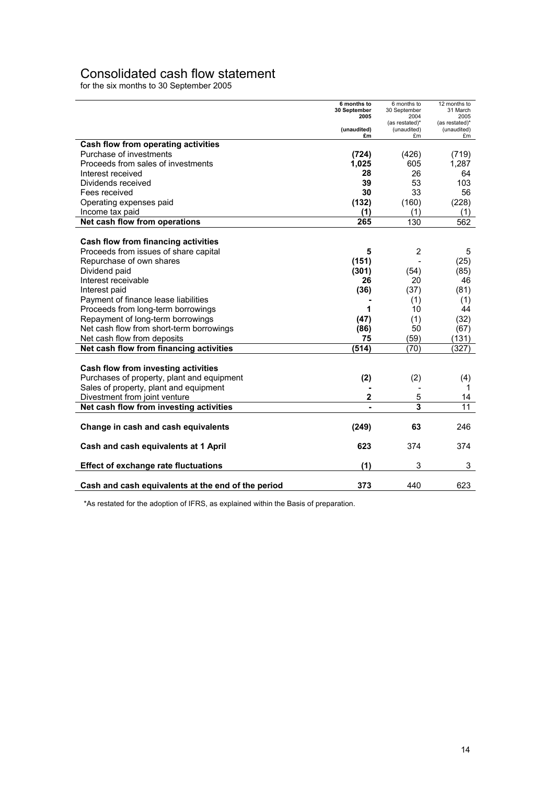## Consolidated cash flow statement

for the six months to 30 September 2005

|                                                    | 6 months to<br>30 September | 6 months to<br>30 September | 12 months to<br>31 March |
|----------------------------------------------------|-----------------------------|-----------------------------|--------------------------|
|                                                    | 2005                        | 2004                        | 2005                     |
|                                                    |                             | (as restated)*              | (as restated)*           |
|                                                    | (unaudited)                 | (unaudited)                 | (unaudited)              |
|                                                    | £m                          | £m                          | £m                       |
| Cash flow from operating activities                |                             |                             |                          |
| Purchase of investments                            | (724)                       | (426)                       | (719)                    |
| Proceeds from sales of investments                 | 1,025                       | 605                         | 1.287                    |
| Interest received                                  | 28                          | 26                          | 64                       |
| Dividends received                                 | 39                          | 53                          | 103                      |
| Fees received                                      | 30                          | 33                          | 56                       |
| Operating expenses paid                            | (132)                       | (160)                       | (228)                    |
| Income tax paid                                    | (1)                         | (1)                         | (1)                      |
| Net cash flow from operations                      | 265                         | 130                         | 562                      |
|                                                    |                             |                             |                          |
| Cash flow from financing activities                |                             |                             |                          |
| Proceeds from issues of share capital              | 5                           | $\overline{c}$              | 5                        |
|                                                    |                             |                             |                          |
| Repurchase of own shares                           | (151)                       |                             | (25)                     |
| Dividend paid                                      | (301)                       | (54)                        | (85)                     |
| Interest receivable                                | 26                          | 20                          | 46                       |
| Interest paid                                      | (36)                        | (37)                        | (81)                     |
| Payment of finance lease liabilities               |                             | (1)                         | (1)                      |
| Proceeds from long-term borrowings                 | 1                           | 10                          | 44                       |
| Repayment of long-term borrowings                  | (47)                        | (1)                         | (32)                     |
| Net cash flow from short-term borrowings           | (86)                        | 50                          | (67)                     |
| Net cash flow from deposits                        | 75                          | (59)                        | (131)                    |
|                                                    |                             |                             |                          |
| Net cash flow from financing activities            | (514)                       | (70)                        | (327)                    |
| Cash flow from investing activities                |                             |                             |                          |
|                                                    |                             |                             |                          |
| Purchases of property, plant and equipment         | (2)                         | (2)                         | (4)                      |
| Sales of property, plant and equipment             |                             |                             | 1                        |
| Divestment from joint venture                      | 2                           | 5                           | 14                       |
| Net cash flow from investing activities            |                             | 3                           | 11                       |
|                                                    |                             |                             |                          |
| Change in cash and cash equivalents                | (249)                       | 63                          | 246                      |
|                                                    |                             |                             |                          |
| Cash and cash equivalents at 1 April               | 623                         | 374                         | 374                      |
|                                                    |                             |                             |                          |
| <b>Effect of exchange rate fluctuations</b>        | (1)                         | 3                           | 3                        |
|                                                    |                             |                             |                          |
| Cash and cash equivalents at the end of the period | 373                         | 440                         | 623                      |

\*As restated for the adoption of IFRS, as explained within the Basis of preparation.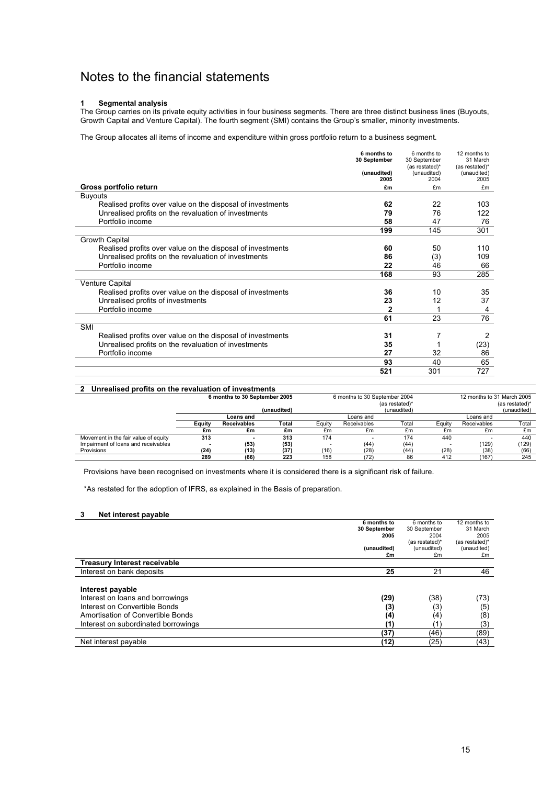# Notes to the financial statements

#### **1 Segmental analysis**

The Group carries on its private equity activities in four business segments. There are three distinct business lines (Buyouts, Growth Capital and Venture Capital). The fourth segment (SMI) contains the Group's smaller, minority investments.

The Group allocates all items of income and expenditure within gross portfolio return to a business segment.

|                                                            | 6 months to<br>30 September | 6 months to<br>30 September<br>(as restated)* | 12 months to<br>31 March<br>(as restated)* |
|------------------------------------------------------------|-----------------------------|-----------------------------------------------|--------------------------------------------|
|                                                            | (unaudited)<br>2005         | (unaudited)<br>2004                           | (unaudited)<br>2005                        |
| Gross portfolio return                                     | £m                          | £m                                            | £m                                         |
| <b>Buyouts</b>                                             |                             |                                               |                                            |
| Realised profits over value on the disposal of investments | 62                          | 22                                            | 103                                        |
| Unrealised profits on the revaluation of investments       | 79                          | 76                                            | 122                                        |
| Portfolio income                                           | 58                          | 47                                            | 76                                         |
|                                                            | 199                         | 145                                           | 301                                        |
| <b>Growth Capital</b>                                      |                             |                                               |                                            |
| Realised profits over value on the disposal of investments | 60                          | 50                                            | 110                                        |
| Unrealised profits on the revaluation of investments       | 86                          | (3)                                           | 109                                        |
| Portfolio income                                           | 22                          | 46                                            | 66                                         |
|                                                            | 168                         | 93                                            | 285                                        |
| <b>Venture Capital</b>                                     |                             |                                               |                                            |
| Realised profits over value on the disposal of investments | 36                          | 10                                            | 35                                         |
| Unrealised profits of investments                          | 23                          | 12                                            | 37                                         |
| Portfolio income                                           |                             |                                               | 4                                          |
|                                                            | 61                          | 23                                            | 76                                         |
| SMI                                                        |                             |                                               |                                            |
| Realised profits over value on the disposal of investments | 31                          |                                               | 2                                          |
| Unrealised profits on the revaluation of investments       | 35                          |                                               | (23)                                       |
| Portfolio income                                           | 27                          | 32                                            | 86                                         |
|                                                            | 93                          | 40                                            | 65                                         |
|                                                            | 521                         | 301                                           | 727                                        |

| Unrealised profits on the revaluation of investments |                               |                    |             |                               |             |                |                            |             |                |  |
|------------------------------------------------------|-------------------------------|--------------------|-------------|-------------------------------|-------------|----------------|----------------------------|-------------|----------------|--|
|                                                      | 6 months to 30 September 2005 |                    |             | 6 months to 30 September 2004 |             |                | 12 months to 31 March 2005 |             |                |  |
|                                                      |                               |                    |             |                               |             | (as restated)* |                            |             | (as restated)* |  |
|                                                      |                               |                    | (unaudited) |                               |             | (unaudited)    |                            |             | (unaudited)    |  |
|                                                      |                               | Loans and          |             |                               | Loans and   |                |                            | Loans and   |                |  |
|                                                      | Equity                        | <b>Receivables</b> | Total       | Eauity                        | Receivables | Total          | Eauity                     | Receivables | Total          |  |
|                                                      | £m                            | £m                 | £m          | £m                            | £m          | £m             | £m                         | £m          | £m             |  |
| Movement in the fair value of equity                 | 313                           |                    | 313         | 174                           |             | 174            | 440                        |             | 440            |  |
| Impairment of loans and receivables                  |                               | (53)               | (53)        |                               | (44)        | (44)           |                            | (129)       | (129)          |  |
| Provisions                                           | (24)                          | (13)               | (37)        | (16)                          | (28)        | (44)           | (28)                       | (38)        | (66)           |  |
|                                                      | 289                           | (66)               | 223         | 158                           | (72)        | 86             | 412                        | (167        | 245            |  |

Provisions have been recognised on investments where it is considered there is a significant risk of failure.

\*As restated for the adoption of IFRS, as explained in the Basis of preparation.

| 3<br>Net interest payable           |              |                |                |
|-------------------------------------|--------------|----------------|----------------|
|                                     | 6 months to  | 6 months to    | 12 months to   |
|                                     | 30 September | 30 September   | 31 March       |
|                                     | 2005         | 2004           | 2005           |
|                                     |              | (as restated)* | (as restated)* |
|                                     | (unaudited)  | (unaudited)    | (unaudited)    |
|                                     | £m           | £m             | £m             |
| <b>Treasury Interest receivable</b> |              |                |                |
| Interest on bank deposits           | 25           | 21             | 46             |
|                                     |              |                |                |
| Interest payable                    |              |                |                |
| Interest on loans and borrowings    | (29)         | (38)           | (73)           |
| Interest on Convertible Bonds       | (3)          | (3)            | (5)            |
| Amortisation of Convertible Bonds   | (4)          | (4)            | (8)            |
| Interest on subordinated borrowings | (1           | 11             | (3)            |
|                                     | (37)         | (46)           | (89)           |
| Net interest payable                | (12)         | (25)           | (43)           |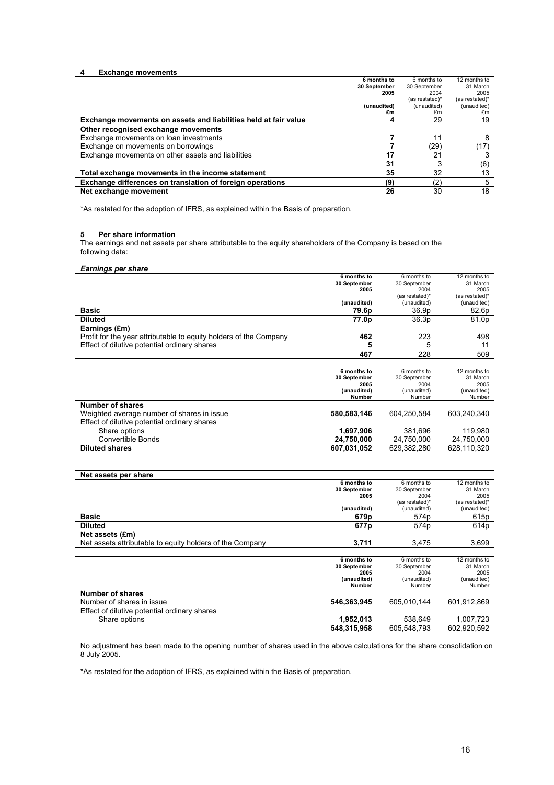#### **4** Exchange movements

|                                                                 | 6 months to  | 6 months to    | 12 months to   |
|-----------------------------------------------------------------|--------------|----------------|----------------|
|                                                                 | 30 September | 30 September   | 31 March       |
|                                                                 | 2005         | 2004           | 2005           |
|                                                                 |              | (as restated)* | (as restated)* |
|                                                                 | (unaudited)  | (unaudited)    | (unaudited)    |
|                                                                 | £m           | £m             | £m             |
| Exchange movements on assets and liabilities held at fair value | 4            | 29             | 19             |
| Other recognised exchange movements                             |              |                |                |
| Exchange movements on loan investments                          |              | 11             | 8              |
| Exchange on movements on borrowings                             |              | (29)           | (17)           |
| Exchange movements on other assets and liabilities              | 17           | 21             |                |
|                                                                 | 31           |                | (6)            |
| Total exchange movements in the income statement                | 35           | 32             | 13             |
| Exchange differences on translation of foreign operations       | (9)          | (2)            | 5              |
| Net exchange movement                                           | 26           | 30             | 18             |

\*As restated for the adoption of IFRS, as explained within the Basis of preparation.

#### **5 Per share information**

The earnings and net assets per share attributable to the equity shareholders of the Company is based on the following data:

#### *Earnings per share*

|                                                                   | 6 months to   | 6 months to       | 12 months to   |
|-------------------------------------------------------------------|---------------|-------------------|----------------|
|                                                                   | 30 September  | 30 September      | 31 March       |
|                                                                   | 2005          | 2004              | 2005           |
|                                                                   |               | (as restated)*    | (as restated)* |
|                                                                   | (unaudited)   | (unaudited)       | (unaudited)    |
| <b>Basic</b>                                                      | 79.6p         | 36.9p             | 82.6p          |
| <b>Diluted</b>                                                    | 77.0p         | 36.3 <sub>p</sub> | 81.0p          |
| Earnings (£m)                                                     |               |                   |                |
| Profit for the year attributable to equity holders of the Company | 462           | 223               | 498            |
| Effect of dilutive potential ordinary shares                      | 5             | 5                 | 11             |
|                                                                   | 467           | 228               | 509            |
|                                                                   |               |                   |                |
|                                                                   | 6 months to   | 6 months to       | 12 months to   |
|                                                                   | 30 September  | 30 September      | 31 March       |
|                                                                   | 2005          | 2004              | 2005           |
|                                                                   | (unaudited)   | (unaudited)       | (unaudited)    |
|                                                                   | <b>Number</b> | Number            | Number         |
| Number of shares                                                  |               |                   |                |
| Weighted average number of shares in issue                        | 580,583,146   | 604,250,584       | 603,240,340    |
| Effect of dilutive potential ordinary shares                      |               |                   |                |
| Share options                                                     | 1,697,906     | 381,696           | 119,980        |
| Convertible Bonds                                                 | 24,750,000    | 24,750,000        | 24,750,000     |
| <b>Diluted shares</b>                                             | 607,031,052   | 629,382,280       | 628,110,320    |
|                                                                   |               |                   |                |

| Net assets per share                                     |                  |                |                |
|----------------------------------------------------------|------------------|----------------|----------------|
|                                                          | 6 months to      | 6 months to    | 12 months to   |
|                                                          | 30 September     | 30 September   | 31 March       |
|                                                          | 2005             | 2004           | 2005           |
|                                                          |                  | (as restated)* | (as restated)* |
|                                                          | (unaudited)      | (unaudited)    | (unaudited)    |
| <b>Basic</b>                                             | 679 <sub>p</sub> | 574p           | 615p           |
| <b>Diluted</b>                                           | 677p             | 574p           | 614p           |
| Net assets (£m)                                          |                  |                |                |
| Net assets attributable to equity holders of the Company | 3.711            | 3,475          | 3,699          |
|                                                          |                  |                |                |
|                                                          | 6 months to      | 6 months to    | 12 months to   |
|                                                          | 30 September     | 30 September   | 31 March       |
|                                                          | 2005             | 2004           | 2005           |
|                                                          | (unaudited)      | (unaudited)    | (unaudited)    |
|                                                          | Number           | Number         | Number         |
| Number of shares                                         |                  |                |                |
| Number of shares in issue                                | 546,363,945      | 605.010.144    | 601,912,869    |
| Effect of dilutive potential ordinary shares             |                  |                |                |
| Share options                                            | 1,952,013        | 538,649        | 1,007,723      |
|                                                          | 548,315,958      | 605.548.793    | 602.920.592    |

No adjustment has been made to the opening number of shares used in the above calculations for the share consolidation on 8 July 2005.

\*As restated for the adoption of IFRS, as explained within the Basis of preparation.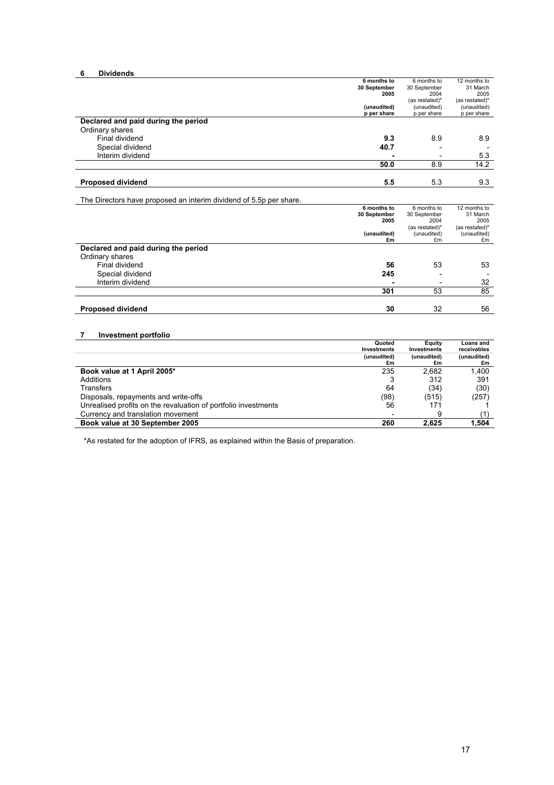| <b>Dividends</b><br>6                                              |                            |                            |                            |
|--------------------------------------------------------------------|----------------------------|----------------------------|----------------------------|
|                                                                    | 6 months to                | 6 months to                | 12 months to               |
|                                                                    | 30 September               | 30 September               | 31 March                   |
|                                                                    | 2005                       | 2004                       | 2005                       |
|                                                                    |                            | (as restated)*             | (as restated)*             |
|                                                                    | (unaudited)<br>p per share | (unaudited)<br>p per share | (unaudited)<br>p per share |
| Declared and paid during the period                                |                            |                            |                            |
|                                                                    |                            |                            |                            |
| Ordinary shares                                                    |                            |                            |                            |
| Final dividend                                                     | 9.3                        | 8.9                        | 8.9                        |
| Special dividend                                                   | 40.7                       |                            |                            |
| Interim dividend                                                   |                            |                            | 5.3                        |
|                                                                    | 50.0                       | 8.9                        | 14.2                       |
|                                                                    |                            |                            |                            |
| <b>Proposed dividend</b>                                           | 5.5                        | 5.3                        | 9.3                        |
|                                                                    |                            |                            |                            |
| The Directors have proposed an interim dividend of 5.5p per share. |                            |                            |                            |
|                                                                    | 6 months to                | 6 months to                | 12 months to               |
|                                                                    | 30 September               | 30 September               | 31 March                   |
|                                                                    | 2005                       | 2004                       | 2005                       |
|                                                                    |                            | (as restated)*             | (as restated)*             |
|                                                                    | (unaudited)                | (unaudited)                | (unaudited)                |
|                                                                    | £m                         | £m                         | £m                         |
| Declared and paid during the period                                |                            |                            |                            |
| Ordinary shares                                                    |                            |                            |                            |
| Final dividend                                                     | 56                         | 53                         | 53                         |

 Special dividend **245** - - Interim dividend **-** - 32

#### **Proposed dividend** 30 32 56

#### **7 Investment portfolio**

|                                                                | Quoted      | Eauity      | Loans and   |
|----------------------------------------------------------------|-------------|-------------|-------------|
|                                                                | Investments | Investments | receivables |
|                                                                | (unaudited) | (unaudited) | (unaudited) |
|                                                                | £m          | £m          | £m          |
| Book value at 1 April 2005*                                    | 235         | 2.682       | 1.400       |
| Additions                                                      | 3           | 312         | 391         |
| <b>Transfers</b>                                               | 64          | (34)        | (30)        |
| Disposals, repayments and write-offs                           | (98)        | (515)       | (257)       |
| Unrealised profits on the revaluation of portfolio investments | 56          | 171         |             |
| Currency and translation movement                              |             | 9           |             |
| Book value at 30 September 2005                                | 260         | 2.625       | 1.504       |

\*As restated for the adoption of IFRS, as explained within the Basis of preparation.

**245**<br>
<u>**32**<br> **301** 53 85</u>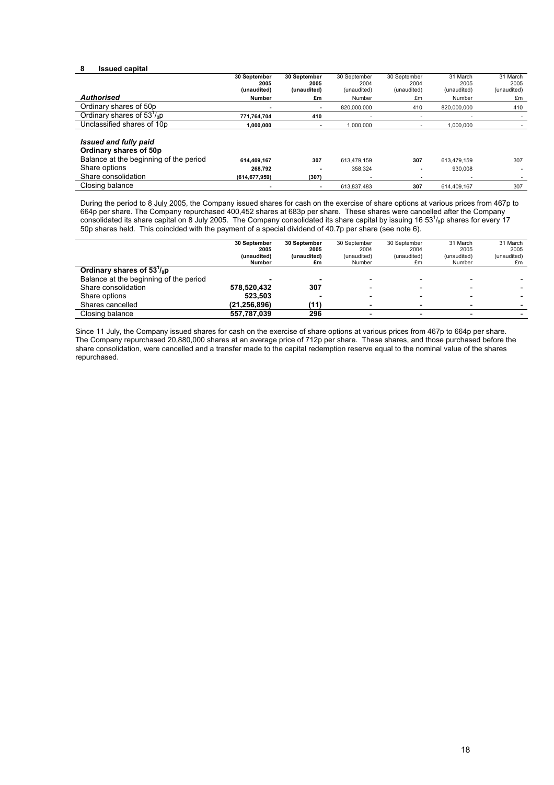#### **8 Issued capital**

|                                                                                                                                   | 30 September<br>2005<br>(unaudited)       | 30 September<br>2005<br>(unaudited) | 30 September<br>2004<br>(unaudited) | 30 September<br>2004<br>(unaudited) | 31 March<br>2005<br>(unaudited) | 31 March<br>2005<br>(unaudited) |
|-----------------------------------------------------------------------------------------------------------------------------------|-------------------------------------------|-------------------------------------|-------------------------------------|-------------------------------------|---------------------------------|---------------------------------|
| <b>Authorised</b>                                                                                                                 | <b>Number</b>                             | £m                                  | Number                              | £m                                  | Number                          | £m                              |
| Ordinary shares of 50p                                                                                                            |                                           | $\blacksquare$                      | 820,000,000                         | 410                                 | 820.000.000                     | 410                             |
| Ordinary shares of $53'$ / $_8$ p                                                                                                 | 771,764,704                               | 410                                 |                                     |                                     |                                 |                                 |
| Unclassified shares of 10p                                                                                                        | 1.000.000                                 |                                     | 1.000.000                           |                                     | 1.000.000                       |                                 |
| Issued and fully paid<br>Ordinary shares of 50p<br>Balance at the beginning of the period<br>Share options<br>Share consolidation | 614,409,167<br>268.792<br>(614, 677, 959) | 307<br>(307)                        | 613.479.159<br>358.324              | 307                                 | 613.479.159<br>930.008          | 307                             |
| Closing balance                                                                                                                   |                                           | $\blacksquare$                      | 613.837.483                         | 307                                 | 614.409.167                     | 307                             |

During the period to 8 July 2005, the Company issued shares for cash on the exercise of share options at various prices from 467p to 664p per share. The Company repurchased 400,452 shares at 683p per share. These shares were cancelled after the Company consolidated its share capital on 8 July 2005. The Company consolidated its share capital by issuing 16 53 $1/8p$  shares for every 17 50p shares held. This coincided with the payment of a special dividend of 40.7p per share (see note 6).

|                                        | 30 September  | 30 September | 30 September | 30 September | 31 March                 | 31 March    |
|----------------------------------------|---------------|--------------|--------------|--------------|--------------------------|-------------|
|                                        | 2005          | 2005         | 2004         | 2004         | 2005                     | 2005        |
|                                        | (unaudited)   | (unaudited)  | (unaudited)  | (unaudited)  | (unaudited)              | (unaudited) |
|                                        | <b>Number</b> | £m           | Number       | £m           | Number                   | £m          |
| Ordinary shares of $53\frac{7}{8}$ p   |               |              |              |              |                          |             |
| Balance at the beginning of the period |               |              |              |              |                          |             |
| Share consolidation                    | 578,520,432   | 307          |              |              |                          |             |
| Share options                          | 523.503       |              |              |              |                          |             |
| Shares cancelled                       | (21.256.896)  | (11)         |              |              | $\overline{\phantom{0}}$ |             |
| Closing balance                        | 557.787.039   | 296          |              |              | $\overline{\phantom{0}}$ |             |

Since 11 July, the Company issued shares for cash on the exercise of share options at various prices from 467p to 664p per share. The Company repurchased 20,880,000 shares at an average price of 712p per share. These shares, and those purchased before the share consolidation, were cancelled and a transfer made to the capital redemption reserve equal to the nominal value of the shares repurchased.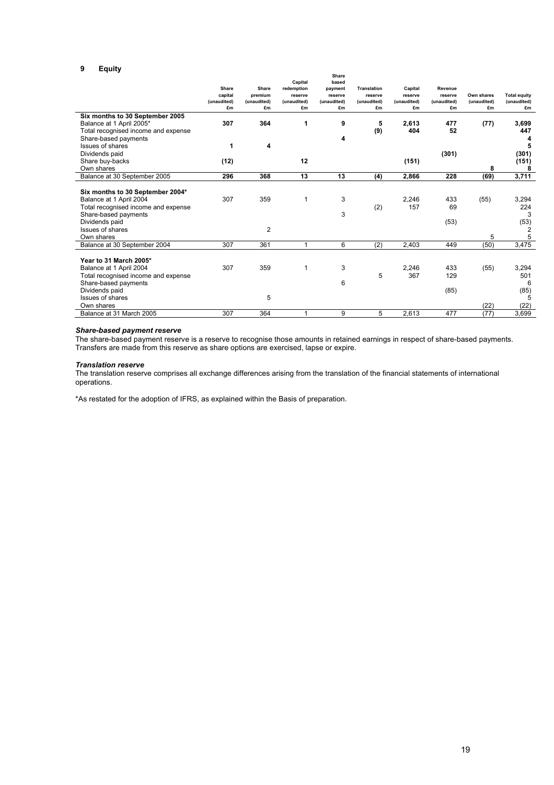| 9<br><b>Equity</b>                  |              |                |                       |                    |                    |             |             |             |                     |
|-------------------------------------|--------------|----------------|-----------------------|--------------------|--------------------|-------------|-------------|-------------|---------------------|
|                                     |              |                |                       | Share              |                    |             |             |             |                     |
|                                     | <b>Share</b> | Share          | Capital<br>redemption | based              | <b>Translation</b> | Capital     | Revenue     |             |                     |
|                                     | capital      | premium        | reserve               | payment<br>reserve | reserve            | reserve     | reserve     | Own shares  | <b>Total equity</b> |
|                                     | (unaudited)  | (unaudited)    | (unaudited)           | (unaudited)        | (unaudited)        | (unaudited) | (unaudited) | (unaudited) | (unaudited)         |
|                                     | £m           | £m             | £m                    | £m                 | £m                 | £m          | £m          | £m          | £m                  |
| Six months to 30 September 2005     |              |                |                       |                    |                    |             |             |             |                     |
| Balance at 1 April 2005*            | 307          | 364            | 1                     | 9                  | 5                  | 2,613       | 477         | (77)        | 3,699               |
| Total recognised income and expense |              |                |                       |                    | (9)                | 404         | 52          |             | 447                 |
| Share-based payments                |              |                |                       | 4                  |                    |             |             |             |                     |
| Issues of shares                    | 1            | 4              |                       |                    |                    |             |             |             | 5                   |
| Dividends paid                      |              |                |                       |                    |                    |             | (301)       |             | (301)               |
| Share buy-backs                     | (12)         |                | 12                    |                    |                    | (151)       |             |             | (151)               |
| Own shares                          |              |                |                       |                    |                    |             |             | 8           | 8                   |
| Balance at 30 September 2005        | 296          | 368            | 13                    | 13                 | (4)                | 2,866       | 228         | (69)        | 3,711               |
|                                     |              |                |                       |                    |                    |             |             |             |                     |
| Six months to 30 September 2004*    |              |                |                       |                    |                    |             |             |             |                     |
| Balance at 1 April 2004             | 307          | 359            | 1                     | 3                  |                    | 2,246       | 433         | (55)        | 3,294               |
| Total recognised income and expense |              |                |                       |                    | (2)                | 157         | 69          |             | 224                 |
| Share-based payments                |              |                |                       | 3                  |                    |             |             |             | 3                   |
| Dividends paid                      |              |                |                       |                    |                    |             | (53)        |             | (53)                |
| Issues of shares                    |              | $\overline{2}$ |                       |                    |                    |             |             |             | $\overline{2}$      |
| Own shares                          |              |                |                       |                    |                    |             |             | 5           | 5                   |
| Balance at 30 September 2004        | 307          | 361            | 1                     | 6                  | (2)                | 2,403       | 449         | (50)        | 3,475               |
|                                     |              |                |                       |                    |                    |             |             |             |                     |
| Year to 31 March 2005*              |              |                |                       |                    |                    |             |             |             |                     |
| Balance at 1 April 2004             | 307          | 359            | 1                     | 3                  |                    | 2,246       | 433         | (55)        | 3,294               |
| Total recognised income and expense |              |                |                       |                    | 5                  | 367         | 129         |             | 501                 |
| Share-based payments                |              |                |                       | 6                  |                    |             |             |             | 6                   |
| Dividends paid                      |              |                |                       |                    |                    |             | (85)        |             | (85)                |
| <b>Issues of shares</b>             |              | 5              |                       |                    |                    |             |             |             | 5                   |
| Own shares                          |              |                |                       |                    |                    |             |             | (22)        | (22)                |
| Balance at 31 March 2005            | 307          | 364            | 1                     | 9                  | 5                  | 2.613       | 477         | (77)        | 3,699               |

#### *Share-based payment reserve*

The share-based payment reserve is a reserve to recognise those amounts in retained earnings in respect of share-based payments. Transfers are made from this reserve as share options are exercised, lapse or expire.

#### *Translation reserve*

The translation reserve comprises all exchange differences arising from the translation of the financial statements of international operations.

\*As restated for the adoption of IFRS, as explained within the Basis of preparation.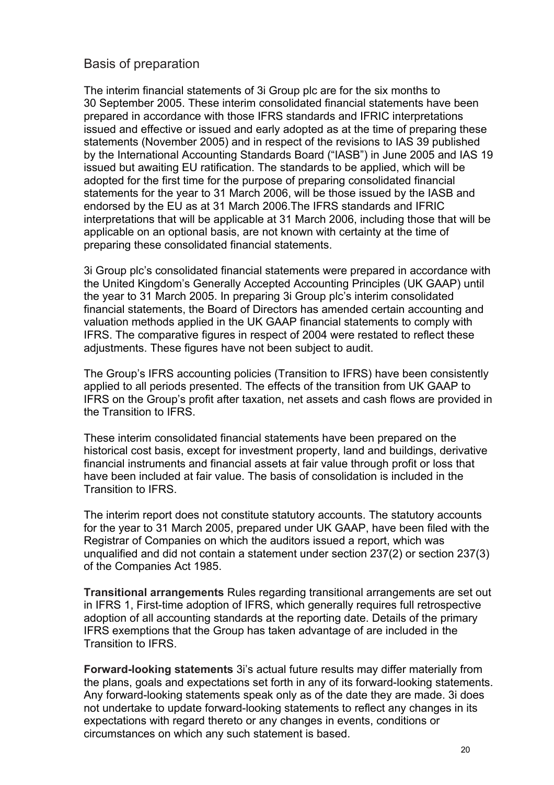## Basis of preparation

The interim financial statements of 3i Group plc are for the six months to 30 September 2005. These interim consolidated financial statements have been prepared in accordance with those IFRS standards and IFRIC interpretations issued and effective or issued and early adopted as at the time of preparing these statements (November 2005) and in respect of the revisions to IAS 39 published by the International Accounting Standards Board ("IASB") in June 2005 and IAS 19 issued but awaiting EU ratification. The standards to be applied, which will be adopted for the first time for the purpose of preparing consolidated financial statements for the year to 31 March 2006, will be those issued by the IASB and endorsed by the EU as at 31 March 2006.The IFRS standards and IFRIC interpretations that will be applicable at 31 March 2006, including those that will be applicable on an optional basis, are not known with certainty at the time of preparing these consolidated financial statements.

3i Group plc's consolidated financial statements were prepared in accordance with the United Kingdom's Generally Accepted Accounting Principles (UK GAAP) until the year to 31 March 2005. In preparing 3i Group plc's interim consolidated financial statements, the Board of Directors has amended certain accounting and valuation methods applied in the UK GAAP financial statements to comply with IFRS. The comparative figures in respect of 2004 were restated to reflect these adjustments. These figures have not been subject to audit.

The Group's IFRS accounting policies (Transition to IFRS) have been consistently applied to all periods presented. The effects of the transition from UK GAAP to IFRS on the Group's profit after taxation, net assets and cash flows are provided in the Transition to IFRS.

These interim consolidated financial statements have been prepared on the historical cost basis, except for investment property, land and buildings, derivative financial instruments and financial assets at fair value through profit or loss that have been included at fair value. The basis of consolidation is included in the Transition to IFRS.

The interim report does not constitute statutory accounts. The statutory accounts for the year to 31 March 2005, prepared under UK GAAP, have been filed with the Registrar of Companies on which the auditors issued a report, which was unqualified and did not contain a statement under section 237(2) or section 237(3) of the Companies Act 1985.

**Transitional arrangements** Rules regarding transitional arrangements are set out in IFRS 1, First-time adoption of IFRS, which generally requires full retrospective adoption of all accounting standards at the reporting date. Details of the primary IFRS exemptions that the Group has taken advantage of are included in the Transition to IFRS.

**Forward-looking statements** 3i's actual future results may differ materially from the plans, goals and expectations set forth in any of its forward-looking statements. Any forward-looking statements speak only as of the date they are made. 3i does not undertake to update forward-looking statements to reflect any changes in its expectations with regard thereto or any changes in events, conditions or circumstances on which any such statement is based.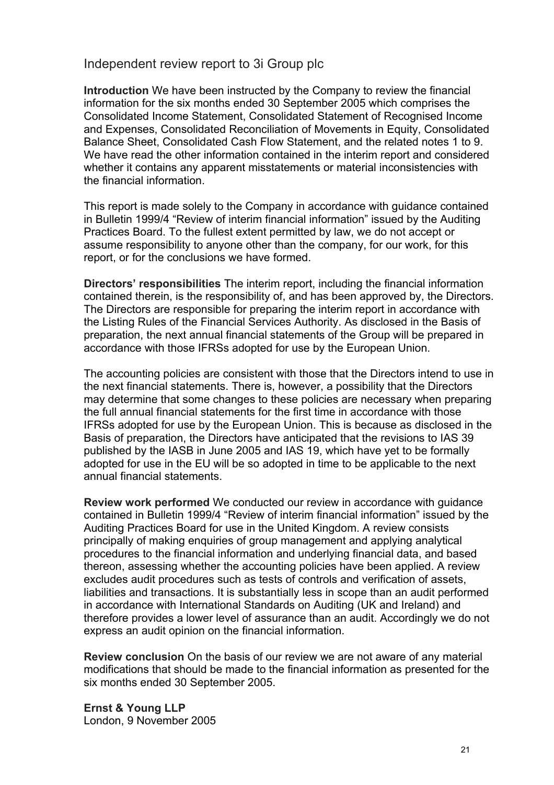## Independent review report to 3i Group plc

**Introduction** We have been instructed by the Company to review the financial information for the six months ended 30 September 2005 which comprises the Consolidated Income Statement, Consolidated Statement of Recognised Income and Expenses, Consolidated Reconciliation of Movements in Equity, Consolidated Balance Sheet, Consolidated Cash Flow Statement, and the related notes 1 to 9. We have read the other information contained in the interim report and considered whether it contains any apparent misstatements or material inconsistencies with the financial information.

This report is made solely to the Company in accordance with guidance contained in Bulletin 1999/4 "Review of interim financial information" issued by the Auditing Practices Board. To the fullest extent permitted by law, we do not accept or assume responsibility to anyone other than the company, for our work, for this report, or for the conclusions we have formed.

**Directors' responsibilities** The interim report, including the financial information contained therein, is the responsibility of, and has been approved by, the Directors. The Directors are responsible for preparing the interim report in accordance with the Listing Rules of the Financial Services Authority. As disclosed in the Basis of preparation, the next annual financial statements of the Group will be prepared in accordance with those IFRSs adopted for use by the European Union.

The accounting policies are consistent with those that the Directors intend to use in the next financial statements. There is, however, a possibility that the Directors may determine that some changes to these policies are necessary when preparing the full annual financial statements for the first time in accordance with those IFRSs adopted for use by the European Union. This is because as disclosed in the Basis of preparation, the Directors have anticipated that the revisions to IAS 39 published by the IASB in June 2005 and IAS 19, which have yet to be formally adopted for use in the EU will be so adopted in time to be applicable to the next annual financial statements.

**Review work performed** We conducted our review in accordance with guidance contained in Bulletin 1999/4 "Review of interim financial information" issued by the Auditing Practices Board for use in the United Kingdom. A review consists principally of making enquiries of group management and applying analytical procedures to the financial information and underlying financial data, and based thereon, assessing whether the accounting policies have been applied. A review excludes audit procedures such as tests of controls and verification of assets, liabilities and transactions. It is substantially less in scope than an audit performed in accordance with International Standards on Auditing (UK and Ireland) and therefore provides a lower level of assurance than an audit. Accordingly we do not express an audit opinion on the financial information.

**Review conclusion** On the basis of our review we are not aware of any material modifications that should be made to the financial information as presented for the six months ended 30 September 2005.

**Ernst & Young LLP**  London, 9 November 2005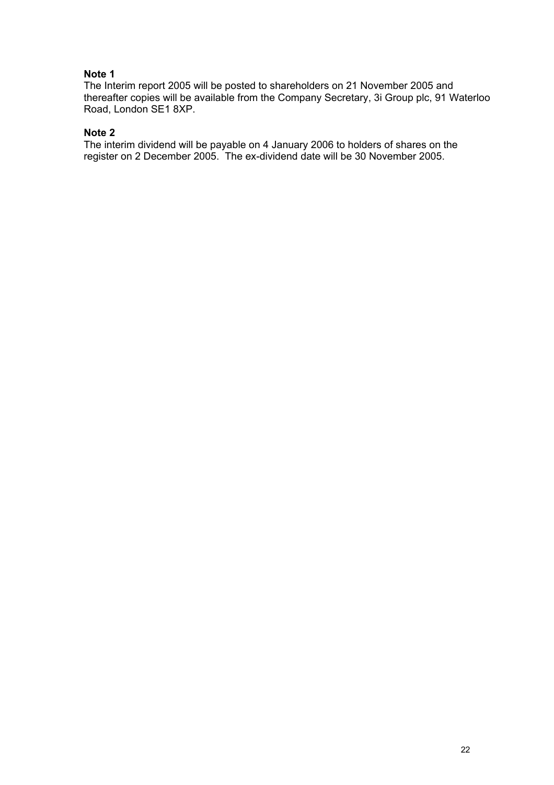## **Note 1**

The Interim report 2005 will be posted to shareholders on 21 November 2005 and thereafter copies will be available from the Company Secretary, 3i Group plc, 91 Waterloo Road, London SE1 8XP.

## **Note 2**

The interim dividend will be payable on 4 January 2006 to holders of shares on the register on 2 December 2005. The ex-dividend date will be 30 November 2005.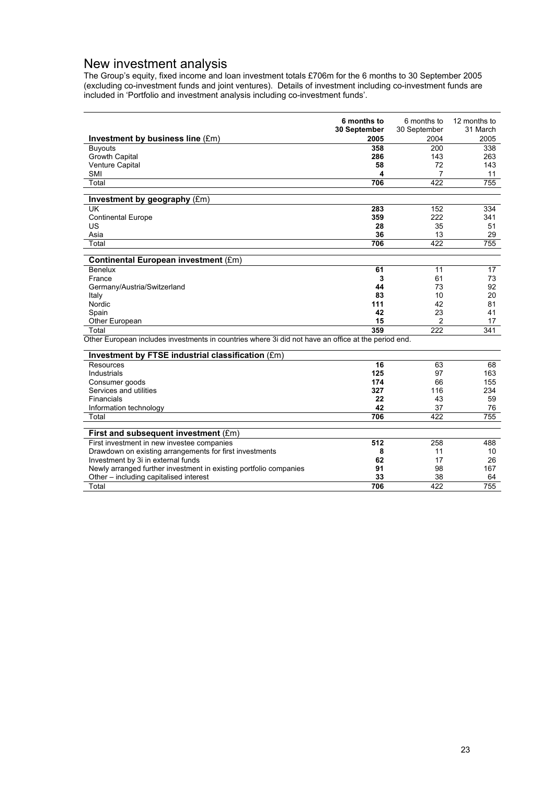## New investment analysis

The Group's equity, fixed income and loan investment totals £706m for the 6 months to 30 September 2005 (excluding co-investment funds and joint ventures). Details of investment including co-investment funds are included in 'Portfolio and investment analysis including co-investment funds'.

|                                                                                                     | 6 months to<br>30 September | 6 months to<br>30 September | 12 months to<br>31 March |
|-----------------------------------------------------------------------------------------------------|-----------------------------|-----------------------------|--------------------------|
| Investment by business line (£m)                                                                    | 2005                        | 2004                        | 2005                     |
| <b>Buyouts</b>                                                                                      | 358                         | 200                         | 338                      |
| Growth Capital                                                                                      | 286                         | 143                         | 263                      |
| Venture Capital                                                                                     | 58                          | 72                          | 143                      |
| SMI                                                                                                 | 4                           | 7                           | 11                       |
| Total                                                                                               | 706                         | 422                         | 755                      |
| Investment by geography (£m)                                                                        |                             |                             |                          |
| UK                                                                                                  | 283                         | 152                         | 334                      |
| <b>Continental Europe</b>                                                                           | 359                         | 222                         | 341                      |
| US                                                                                                  | 28                          | 35                          | 51                       |
| Asia                                                                                                | 36                          | 13                          | 29                       |
| Total                                                                                               | 706                         | 422                         | 755                      |
| Continental European investment (£m)                                                                |                             |                             |                          |
| Benelux                                                                                             | 61                          | 11                          | 17                       |
| France                                                                                              | 3                           | 61                          | 73                       |
| Germany/Austria/Switzerland                                                                         | 44                          | 73                          | 92                       |
| Italy                                                                                               | 83                          | 10                          | 20                       |
| Nordic                                                                                              | 111                         | 42                          | 81                       |
| Spain                                                                                               | 42                          | 23                          | 41                       |
| Other European                                                                                      | 15                          | 2                           | 17                       |
| Total                                                                                               | 359                         | 222                         | 341                      |
| Other European includes investments in countries where 3i did not have an office at the period end. |                             |                             |                          |
| Investment by FTSE industrial classification (£m)                                                   |                             |                             |                          |
| Resources                                                                                           | 16                          | 63                          | 68                       |
| Industrials                                                                                         | 125                         | 97                          | 163                      |
| Consumer goods                                                                                      | 174                         | 66                          | 155                      |
| Services and utilities                                                                              | 327                         | 116                         | 234                      |
| <b>Financials</b>                                                                                   | 22<br>42                    | 43<br>37                    | 59                       |
| Information technology<br>Total                                                                     | 706                         | 422                         | 76<br>755                |
|                                                                                                     |                             |                             |                          |
| First and subsequent investment (£m)                                                                |                             |                             |                          |
| First investment in new investee companies                                                          | 512                         | 258                         | 488                      |
| Drawdown on existing arrangements for first investments                                             | 8                           | 11                          | 10                       |
| Investment by 3i in external funds                                                                  | 62                          | 17                          | 26                       |
| Newly arranged further investment in existing portfolio companies                                   | 91                          | 98                          | 167                      |
| Other – including capitalised interest                                                              | 33                          | 38                          | 64                       |
| Total                                                                                               | 706                         | 422                         | 755                      |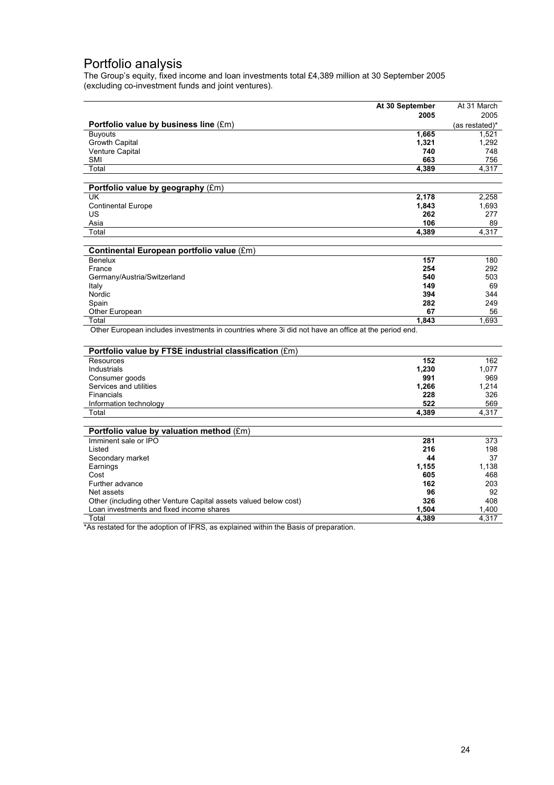## Portfolio analysis

The Group's equity, fixed income and loan investments total £4,389 million at 30 September 2005 (excluding co-investment funds and joint ventures).

|                                                                                                     | At 30 September | At 31 March    |
|-----------------------------------------------------------------------------------------------------|-----------------|----------------|
|                                                                                                     | 2005            | 2005           |
| Portfolio value by business line (£m)                                                               |                 | (as restated)* |
| <b>Buyouts</b>                                                                                      | 1,665           | 1,521          |
| Growth Capital                                                                                      | 1,321           | 1,292          |
| Venture Capital                                                                                     | 740             | 748            |
| SMI                                                                                                 | 663             | 756            |
| Total                                                                                               | 4.389           | 4,317          |
|                                                                                                     |                 |                |
| Portfolio value by geography (£m)                                                                   |                 |                |
| UK.                                                                                                 | 2,178           | 2,258          |
| <b>Continental Europe</b>                                                                           | 1,843           | 1,693          |
| US                                                                                                  | 262             | 277            |
| Asia                                                                                                | 106             | 89             |
| Total                                                                                               | 4,389           | 4,317          |
|                                                                                                     |                 |                |
| Continental European portfolio value (£m)                                                           |                 |                |
| Benelux                                                                                             | 157             | 180            |
| France                                                                                              | 254             | 292            |
| Germany/Austria/Switzerland                                                                         | 540             | 503            |
| Italy                                                                                               | 149             | 69             |
| Nordic                                                                                              | 394             | 344            |
| Spain                                                                                               | 282             | 249            |
| Other European                                                                                      | 67              | 56             |
| Total                                                                                               | 1.843           | 1.693          |
| Other European includes investments in countries where 3i did not have an office at the period end. |                 |                |
| Portfolio value by FTSE industrial classification (£m)                                              |                 |                |
| Resources                                                                                           | 152             | 162            |
| Industrials                                                                                         | 1,230           | 1,077          |
| Consumer goods                                                                                      | 991             | 969            |
| Services and utilities                                                                              | 1,266           | 1,214          |
| Financials                                                                                          | 228             | 326            |
| Information technology                                                                              | 522             | 569            |
| Total                                                                                               | 4.389           | 4,317          |
|                                                                                                     |                 |                |
| Portfolio value by valuation method $(\text{Em})$                                                   |                 |                |
| Imminent sale or IPO                                                                                | 281             | 373            |
| Listed                                                                                              | 216             | 198            |
| Secondary market                                                                                    | 44              | 37             |
| Earnings                                                                                            | 1.155           | 1.138          |
| Cost                                                                                                | 605             | 468            |
| Further advance                                                                                     | 162             | 203            |
| Net assets                                                                                          | 96              | 92             |
| Other (including other Venture Capital assets valued below cost)                                    | 326             | 408            |
| Loan investments and fixed income shares                                                            | 1,504           | 1,400          |
| Total                                                                                               | 4,389           | 4,317          |
| *As restated for the adoption of IFRS, as explained within the Basis of preparation.                |                 |                |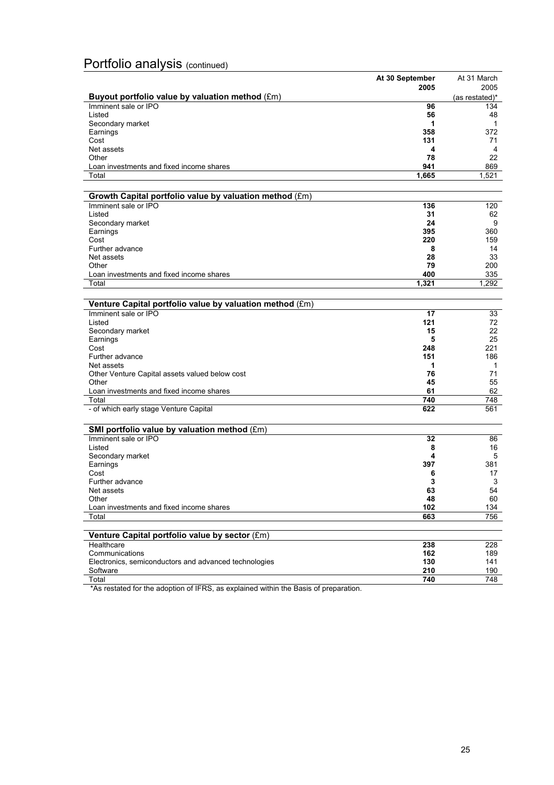# Portfolio analysis (continued)

|                                                          | At 30 September | At 31 March    |
|----------------------------------------------------------|-----------------|----------------|
|                                                          | 2005            | 2005           |
| Buyout portfolio value by valuation method (£m)          |                 | (as restated)* |
| Imminent sale or IPO                                     | 96              | 134            |
| Listed                                                   | 56              | 48             |
| Secondary market                                         | 1               | 1              |
| Earnings<br>Cost                                         | 358<br>131      | 372<br>71      |
| Net assets                                               | 4               | 4              |
| Other                                                    | 78              | 22             |
| Loan investments and fixed income shares                 | 941             | 869            |
| Total                                                    | 1,665           | 1,521          |
|                                                          |                 |                |
| Growth Capital portfolio value by valuation method (£m)  |                 |                |
| Imminent sale or IPO                                     | 136             | 120            |
| Listed                                                   | 31              | 62             |
| Secondary market                                         | 24              | 9              |
| Earnings                                                 | 395             | 360            |
| Cost                                                     | 220             | 159            |
| Further advance                                          | 8               | 14             |
| Net assets<br>Other                                      | 28<br>79        | 33<br>200      |
| Loan investments and fixed income shares                 | 400             | 335            |
| Total                                                    | 1,321           | 1,292          |
|                                                          |                 |                |
| Venture Capital portfolio value by valuation method (£m) |                 |                |
| Imminent sale or IPO                                     | 17              | 33             |
| Listed                                                   | 121             | 72             |
| Secondary market                                         | 15              | 22             |
| Earnings                                                 | 5               | 25             |
| Cost                                                     | 248             | 221            |
| Further advance                                          | 151             | 186            |
| Net assets                                               | 1               | 1              |
| Other Venture Capital assets valued below cost           | 76              | 71             |
| Other                                                    | 45              | 55             |
| Loan investments and fixed income shares<br>Total        | 61<br>740       | 62<br>748      |
| - of which early stage Venture Capital                   | 622             | 561            |
|                                                          |                 |                |
| SMI portfolio value by valuation method (£m)             |                 |                |
| Imminent sale or IPO                                     | 32              | 86             |
| Listed                                                   | 8               | 16             |
| Secondary market                                         | 4               | 5              |
| Earnings                                                 | 397             | 381            |
| Cost                                                     | 6               | 17             |
| Further advance                                          | 3               | 3              |
| Net assets                                               | 63              | 54             |
| Other                                                    | 48              | 60             |
| Loan investments and fixed income shares                 | 102             | 134<br>756     |
| Total                                                    | 663             |                |
| Venture Capital portfolio value by sector (£m)           |                 |                |
| Healthcare                                               | 238             | 228            |
| Communications                                           | 162             | 189            |
| Electronics, semiconductors and advanced technologies    | 130             | 141            |
| Software                                                 | 210             | 190            |
| Total                                                    | 740             | 748            |
|                                                          |                 |                |

\*As restated for the adoption of IFRS, as explained within the Basis of preparation.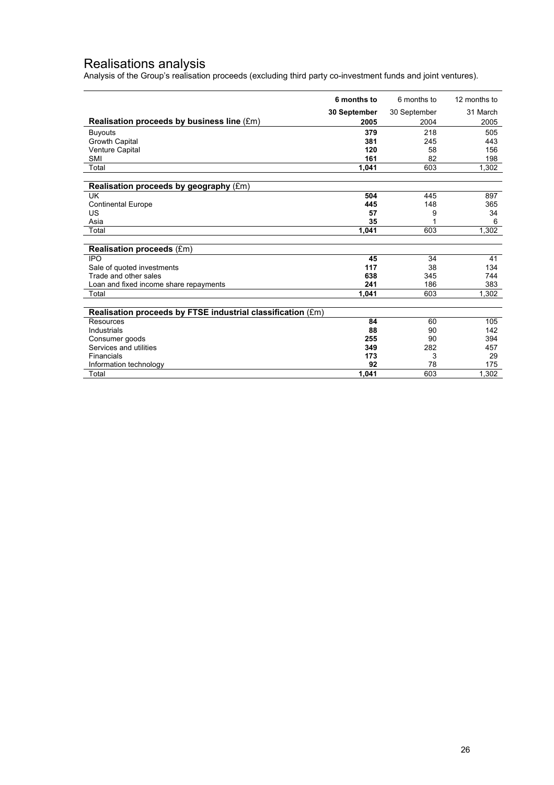## Realisations analysis

Analysis of the Group's realisation proceeds (excluding third party co-investment funds and joint ventures).

|                                                             | 6 months to  | 6 months to  | 12 months to |
|-------------------------------------------------------------|--------------|--------------|--------------|
|                                                             | 30 September | 30 September | 31 March     |
| Realisation proceeds by business line $(\text{Em})$         | 2005         | 2004         | 2005         |
| <b>Buyouts</b>                                              | 379          | 218          | 505          |
| <b>Growth Capital</b>                                       | 381          | 245          | 443          |
| <b>Venture Capital</b>                                      | 120          | 58           | 156          |
| SMI                                                         | 161          | 82           | 198          |
| Total                                                       | 1,041        | 603          | 1,302        |
|                                                             |              |              |              |
| Realisation proceeds by geography (£m)                      |              |              |              |
| <b>UK</b>                                                   | 504          | 445          | 897          |
| <b>Continental Europe</b>                                   | 445          | 148          | 365          |
| US                                                          | 57           | 9            | 34           |
| Asia                                                        | 35           |              | 6            |
| Total                                                       | 1,041        | 603          | 1,302        |
|                                                             |              |              |              |
| <b>Realisation proceeds (£m)</b>                            |              |              |              |
| <b>IPO</b>                                                  | 45           | 34           | 41           |
| Sale of quoted investments                                  | 117          | 38           | 134          |
| Trade and other sales                                       | 638          | 345          | 744          |
| Loan and fixed income share repayments                      | 241          | 186          | 383          |
| Total                                                       | 1,041        | 603          | 1.302        |
|                                                             |              |              |              |
| Realisation proceeds by FTSE industrial classification (£m) |              |              |              |
| Resources                                                   | 84           | 60           | 105          |
| Industrials                                                 | 88           | 90           | 142          |
| Consumer goods                                              | 255          | 90           | 394          |
| Services and utilities                                      | 349          | 282          | 457          |
| <b>Financials</b>                                           | 173          | 3            | 29           |
| Information technology                                      | 92           | 78           | 175          |
| Total                                                       | 1.041        | 603          | 1.302        |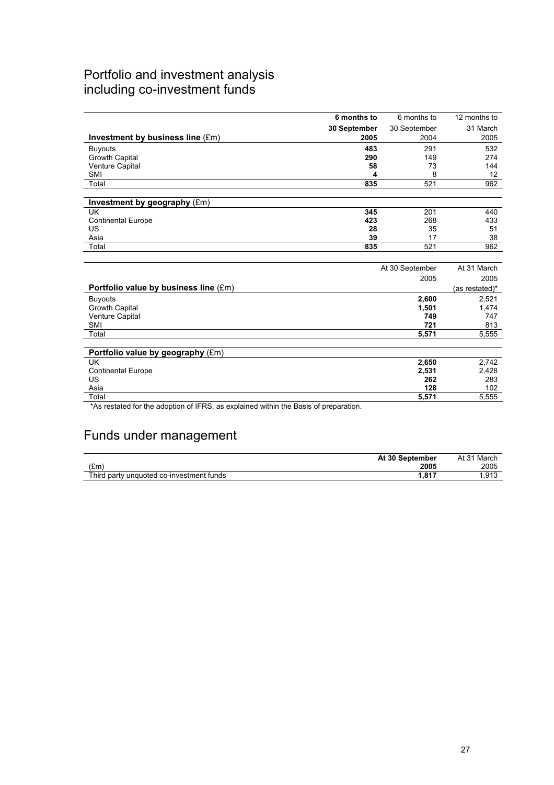# Portfolio and investment analysis including co-investment funds

|                                       | 6 months to  | 6 months to     | 12 months to   |
|---------------------------------------|--------------|-----------------|----------------|
|                                       | 30 September | 30 September    | 31 March       |
| Investment by business line (£m)      | 2005         | 2004            | 2005           |
| <b>Buyouts</b>                        | 483          | 291             | 532            |
| Growth Capital                        | 290          | 149             | 274            |
| Venture Capital                       | 58           | 73              | 144            |
| <b>SMI</b>                            | 4            | 8               | 12             |
| Total                                 | 835          | 521             | 962            |
|                                       |              |                 |                |
| Investment by geography (£m)          |              |                 |                |
| <b>UK</b>                             | 345          | 201             | 440            |
| <b>Continental Europe</b>             | 423          | 268             | 433            |
| US                                    | 28           | 35              | 51             |
| Asia                                  | 39           | 17              | 38             |
| Total                                 | 835          | 521             | 962            |
|                                       |              |                 |                |
|                                       |              | At 30 September | At 31 March    |
|                                       |              | 2005            | 2005           |
| Portfolio value by business line (£m) |              |                 | (as restated)* |
| <b>Buyouts</b>                        |              | 2,600           | 2,521          |
| Growth Capital                        |              | 1,501           | 1,474          |
| Venture Capital                       |              | 749             | 747            |
| <b>SMI</b>                            |              | 721             | 813            |
| Total                                 |              | 5,571           | 5,555          |
|                                       |              |                 |                |
| Portfolio value by geography (£m)     |              |                 |                |
| UK                                    |              | 2,650           | 2,742          |
| <b>Continental Europe</b>             |              | 2,531           | 2,428          |
| US                                    |              | 262             | 283            |
| Asia                                  |              | 128             | 102            |

Total **5,571** 5,555

\*As restated for the adoption of IFRS, as explained within the Basis of preparation.

# Funds under management

|                                          | At 30 September | At 31 March |
|------------------------------------------|-----------------|-------------|
| (£m                                      | 2005            | 2005        |
| Third party unguoted co-investment funds | 1.817           | .913        |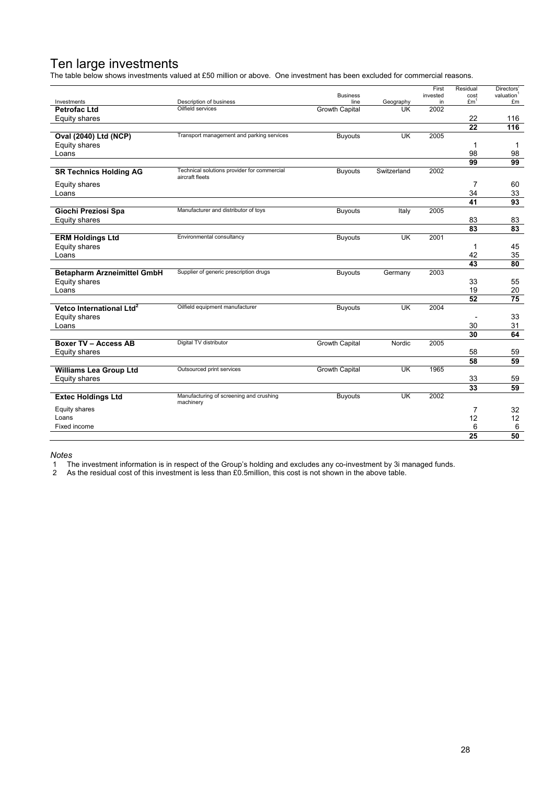## Ten large investments

The table below shows investments valued at £50 million or above. One investment has been excluded for commercial reasons.

|                                      |                                                                |                               |                          | First      | Residual                | Directors'             |
|--------------------------------------|----------------------------------------------------------------|-------------------------------|--------------------------|------------|-------------------------|------------------------|
|                                      |                                                                | <b>Business</b>               |                          | invested   | cost<br>Em <sup>1</sup> | valuation <sup>1</sup> |
| Investments<br><b>Petrofac Ltd</b>   | Description of business<br>Oilfield services                   | line<br><b>Growth Capital</b> | Geography<br>UK          | in<br>2002 |                         | £m                     |
| Equity shares                        |                                                                |                               |                          |            | 22                      | 116                    |
|                                      |                                                                |                               |                          |            | $\overline{22}$         | 116                    |
|                                      | Transport management and parking services                      |                               | $\overline{\mathsf{CK}}$ | 2005       |                         |                        |
| Oval (2040) Ltd (NCP)                |                                                                | <b>Buyouts</b>                |                          |            |                         |                        |
| Equity shares                        |                                                                |                               |                          |            | 1                       | 1                      |
| Loans                                |                                                                |                               |                          |            | 98                      | 98                     |
|                                      |                                                                |                               |                          |            | 99                      | 99                     |
| <b>SR Technics Holding AG</b>        | Technical solutions provider for commercial<br>aircraft fleets | <b>Buyouts</b>                | Switzerland              | 2002       |                         |                        |
| Equity shares                        |                                                                |                               |                          |            | $\overline{7}$          | 60                     |
| Loans                                |                                                                |                               |                          |            | 34                      | 33                     |
|                                      |                                                                |                               |                          |            | 41                      | 93                     |
| Giochi Preziosi Spa                  | Manufacturer and distributor of toys                           | <b>Buyouts</b>                | Italy                    | 2005       |                         |                        |
| Equity shares                        |                                                                |                               |                          |            | 83                      | 83                     |
|                                      |                                                                |                               |                          |            | 83                      | 83                     |
| <b>ERM Holdings Ltd</b>              | Environmental consultancy                                      | <b>Buyouts</b>                | UK                       | 2001       |                         |                        |
| Equity shares                        |                                                                |                               |                          |            | 1                       | 45                     |
| Loans                                |                                                                |                               |                          |            | 42                      | 35                     |
|                                      |                                                                |                               |                          |            | 43                      | 80                     |
| <b>Betapharm Arzneimittel GmbH</b>   | Supplier of generic prescription drugs                         | <b>Buyouts</b>                | Germany                  | 2003       |                         |                        |
| Equity shares                        |                                                                |                               |                          |            | 33                      | 55                     |
| Loans                                |                                                                |                               |                          |            | 19                      | 20                     |
|                                      |                                                                |                               |                          |            | 52                      | 75                     |
| Vetco International Ltd <sup>2</sup> | Oilfield equipment manufacturer                                | <b>Buyouts</b>                | UK                       | 2004       |                         |                        |
| Equity shares                        |                                                                |                               |                          |            |                         | 33                     |
| Loans                                |                                                                |                               |                          |            | 30                      | 31                     |
|                                      |                                                                |                               |                          |            |                         | 64                     |
| <b>Boxer TV - Access AB</b>          | Digital TV distributor                                         | <b>Growth Capital</b>         | Nordic                   | 2005       | 30                      |                        |
|                                      |                                                                |                               |                          |            |                         |                        |
| Equity shares                        |                                                                |                               |                          |            | 58                      | 59                     |
|                                      |                                                                |                               |                          |            | 58                      | 59                     |
| <b>Williams Lea Group Ltd</b>        | Outsourced print services                                      | <b>Growth Capital</b>         | UK                       | 1965       |                         |                        |
| Equity shares                        |                                                                |                               |                          |            | 33                      | 59                     |
|                                      |                                                                |                               |                          |            | 33                      | 59                     |
| <b>Extec Holdings Ltd</b>            | Manufacturing of screening and crushing<br>machinery           | <b>Buyouts</b>                | UK                       | 2002       |                         |                        |
| Equity shares                        |                                                                |                               |                          |            | 7                       | 32                     |
| Loans                                |                                                                |                               |                          |            | 12                      | 12                     |
| Fixed income                         |                                                                |                               |                          |            | 6                       | 6                      |
|                                      |                                                                |                               |                          |            | $\overline{25}$         | 50                     |

*Notes* 

1 The investment information is in respect of the Group's holding and excludes any co-investment by 3i managed funds.

2 As the residual cost of this investment is less than £0.5million, this cost is not shown in the above table.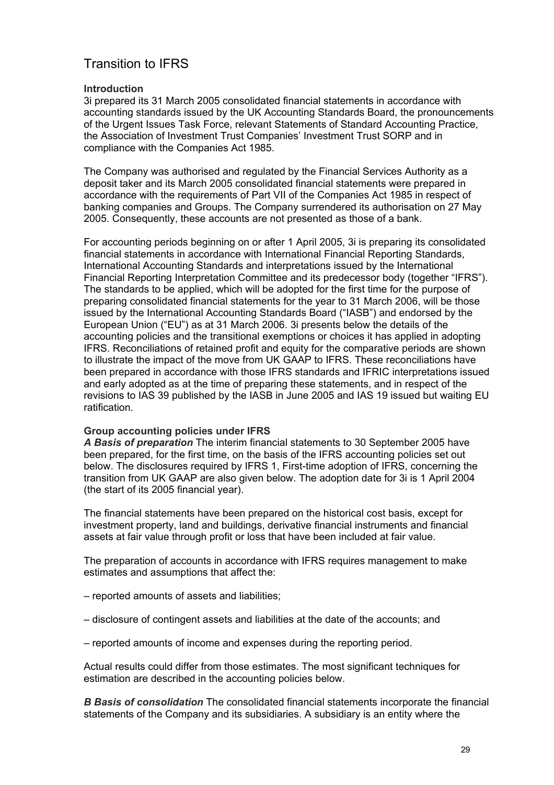## Transition to IFRS

### **Introduction**

3i prepared its 31 March 2005 consolidated financial statements in accordance with accounting standards issued by the UK Accounting Standards Board, the pronouncements of the Urgent Issues Task Force, relevant Statements of Standard Accounting Practice, the Association of Investment Trust Companies' Investment Trust SORP and in compliance with the Companies Act 1985.

The Company was authorised and regulated by the Financial Services Authority as a deposit taker and its March 2005 consolidated financial statements were prepared in accordance with the requirements of Part VII of the Companies Act 1985 in respect of banking companies and Groups. The Company surrendered its authorisation on 27 May 2005. Consequently, these accounts are not presented as those of a bank.

For accounting periods beginning on or after 1 April 2005, 3i is preparing its consolidated financial statements in accordance with International Financial Reporting Standards, International Accounting Standards and interpretations issued by the International Financial Reporting Interpretation Committee and its predecessor body (together "IFRS"). The standards to be applied, which will be adopted for the first time for the purpose of preparing consolidated financial statements for the year to 31 March 2006, will be those issued by the International Accounting Standards Board ("IASB") and endorsed by the European Union ("EU") as at 31 March 2006. 3i presents below the details of the accounting policies and the transitional exemptions or choices it has applied in adopting IFRS. Reconciliations of retained profit and equity for the comparative periods are shown to illustrate the impact of the move from UK GAAP to IFRS. These reconciliations have been prepared in accordance with those IFRS standards and IFRIC interpretations issued and early adopted as at the time of preparing these statements, and in respect of the revisions to IAS 39 published by the IASB in June 2005 and IAS 19 issued but waiting EU ratification.

#### **Group accounting policies under IFRS**

*A Basis of preparation* The interim financial statements to 30 September 2005 have been prepared, for the first time, on the basis of the IFRS accounting policies set out below. The disclosures required by IFRS 1, First-time adoption of IFRS, concerning the transition from UK GAAP are also given below. The adoption date for 3i is 1 April 2004 (the start of its 2005 financial year).

The financial statements have been prepared on the historical cost basis, except for investment property, land and buildings, derivative financial instruments and financial assets at fair value through profit or loss that have been included at fair value.

The preparation of accounts in accordance with IFRS requires management to make estimates and assumptions that affect the:

- reported amounts of assets and liabilities;
- disclosure of contingent assets and liabilities at the date of the accounts; and
- reported amounts of income and expenses during the reporting period.

Actual results could differ from those estimates. The most significant techniques for estimation are described in the accounting policies below.

*B Basis of consolidation* The consolidated financial statements incorporate the financial statements of the Company and its subsidiaries. A subsidiary is an entity where the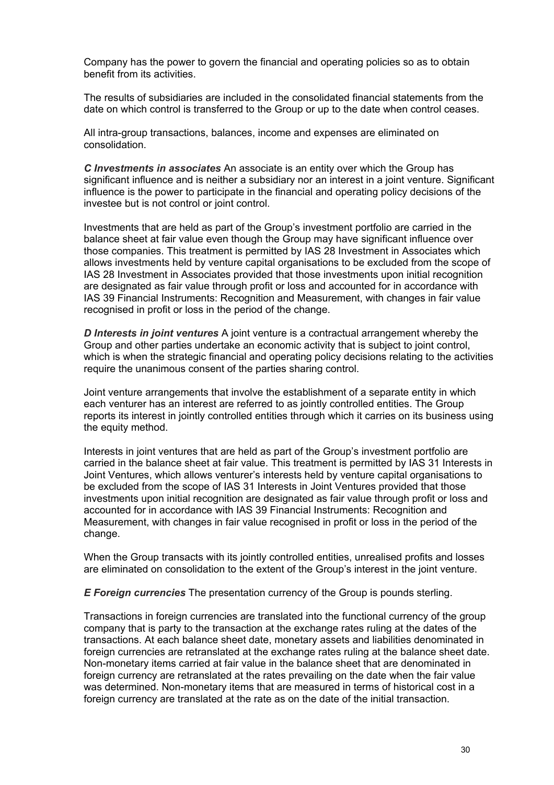Company has the power to govern the financial and operating policies so as to obtain benefit from its activities.

The results of subsidiaries are included in the consolidated financial statements from the date on which control is transferred to the Group or up to the date when control ceases.

All intra-group transactions, balances, income and expenses are eliminated on consolidation.

*C Investments in associates* An associate is an entity over which the Group has significant influence and is neither a subsidiary nor an interest in a joint venture. Significant influence is the power to participate in the financial and operating policy decisions of the investee but is not control or joint control.

Investments that are held as part of the Group's investment portfolio are carried in the balance sheet at fair value even though the Group may have significant influence over those companies. This treatment is permitted by IAS 28 Investment in Associates which allows investments held by venture capital organisations to be excluded from the scope of IAS 28 Investment in Associates provided that those investments upon initial recognition are designated as fair value through profit or loss and accounted for in accordance with IAS 39 Financial Instruments: Recognition and Measurement, with changes in fair value recognised in profit or loss in the period of the change.

*D Interests in joint ventures* A joint venture is a contractual arrangement whereby the Group and other parties undertake an economic activity that is subject to joint control, which is when the strategic financial and operating policy decisions relating to the activities require the unanimous consent of the parties sharing control.

Joint venture arrangements that involve the establishment of a separate entity in which each venturer has an interest are referred to as jointly controlled entities. The Group reports its interest in jointly controlled entities through which it carries on its business using the equity method.

Interests in joint ventures that are held as part of the Group's investment portfolio are carried in the balance sheet at fair value. This treatment is permitted by IAS 31 Interests in Joint Ventures, which allows venturer's interests held by venture capital organisations to be excluded from the scope of IAS 31 Interests in Joint Ventures provided that those investments upon initial recognition are designated as fair value through profit or loss and accounted for in accordance with IAS 39 Financial Instruments: Recognition and Measurement, with changes in fair value recognised in profit or loss in the period of the change.

When the Group transacts with its jointly controlled entities, unrealised profits and losses are eliminated on consolidation to the extent of the Group's interest in the joint venture.

*E Foreign currencies* The presentation currency of the Group is pounds sterling.

Transactions in foreign currencies are translated into the functional currency of the group company that is party to the transaction at the exchange rates ruling at the dates of the transactions. At each balance sheet date, monetary assets and liabilities denominated in foreign currencies are retranslated at the exchange rates ruling at the balance sheet date. Non-monetary items carried at fair value in the balance sheet that are denominated in foreign currency are retranslated at the rates prevailing on the date when the fair value was determined. Non-monetary items that are measured in terms of historical cost in a foreign currency are translated at the rate as on the date of the initial transaction.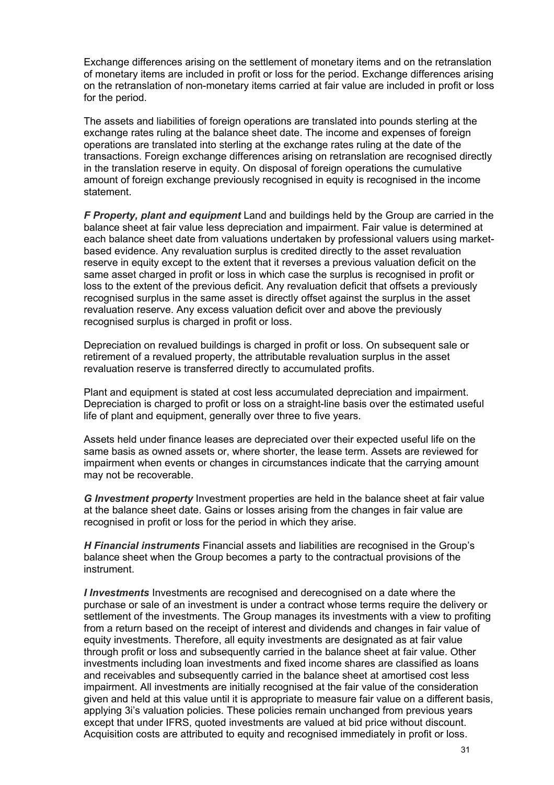Exchange differences arising on the settlement of monetary items and on the retranslation of monetary items are included in profit or loss for the period. Exchange differences arising on the retranslation of non-monetary items carried at fair value are included in profit or loss for the period.

The assets and liabilities of foreign operations are translated into pounds sterling at the exchange rates ruling at the balance sheet date. The income and expenses of foreign operations are translated into sterling at the exchange rates ruling at the date of the transactions. Foreign exchange differences arising on retranslation are recognised directly in the translation reserve in equity. On disposal of foreign operations the cumulative amount of foreign exchange previously recognised in equity is recognised in the income statement.

*F Property, plant and equipment* Land and buildings held by the Group are carried in the balance sheet at fair value less depreciation and impairment. Fair value is determined at each balance sheet date from valuations undertaken by professional valuers using marketbased evidence. Any revaluation surplus is credited directly to the asset revaluation reserve in equity except to the extent that it reverses a previous valuation deficit on the same asset charged in profit or loss in which case the surplus is recognised in profit or loss to the extent of the previous deficit. Any revaluation deficit that offsets a previously recognised surplus in the same asset is directly offset against the surplus in the asset revaluation reserve. Any excess valuation deficit over and above the previously recognised surplus is charged in profit or loss.

Depreciation on revalued buildings is charged in profit or loss. On subsequent sale or retirement of a revalued property, the attributable revaluation surplus in the asset revaluation reserve is transferred directly to accumulated profits.

Plant and equipment is stated at cost less accumulated depreciation and impairment. Depreciation is charged to profit or loss on a straight-line basis over the estimated useful life of plant and equipment, generally over three to five years.

Assets held under finance leases are depreciated over their expected useful life on the same basis as owned assets or, where shorter, the lease term. Assets are reviewed for impairment when events or changes in circumstances indicate that the carrying amount may not be recoverable.

*G Investment property* Investment properties are held in the balance sheet at fair value at the balance sheet date. Gains or losses arising from the changes in fair value are recognised in profit or loss for the period in which they arise.

*H Financial instruments* Financial assets and liabilities are recognised in the Group's balance sheet when the Group becomes a party to the contractual provisions of the instrument.

*I Investments* Investments are recognised and derecognised on a date where the purchase or sale of an investment is under a contract whose terms require the delivery or settlement of the investments. The Group manages its investments with a view to profiting from a return based on the receipt of interest and dividends and changes in fair value of equity investments. Therefore, all equity investments are designated as at fair value through profit or loss and subsequently carried in the balance sheet at fair value. Other investments including loan investments and fixed income shares are classified as loans and receivables and subsequently carried in the balance sheet at amortised cost less impairment. All investments are initially recognised at the fair value of the consideration given and held at this value until it is appropriate to measure fair value on a different basis, applying 3i's valuation policies. These policies remain unchanged from previous years except that under IFRS, quoted investments are valued at bid price without discount. Acquisition costs are attributed to equity and recognised immediately in profit or loss.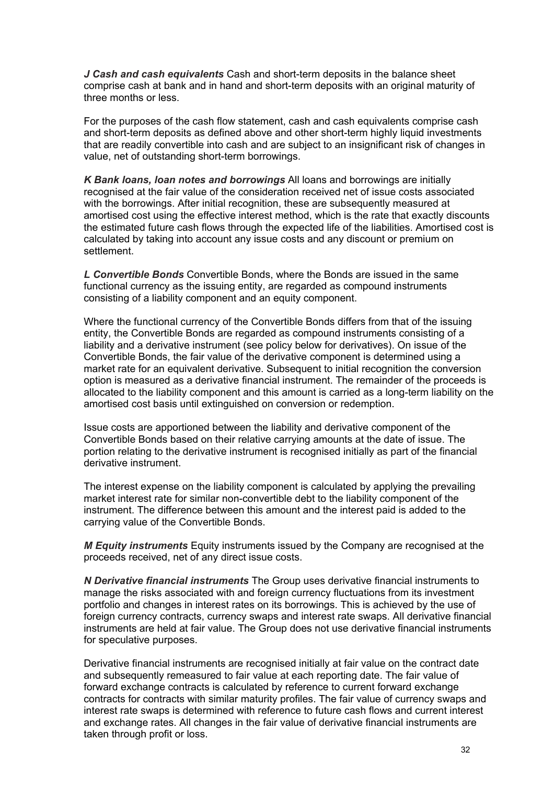*J Cash and cash equivalents* Cash and short-term deposits in the balance sheet comprise cash at bank and in hand and short-term deposits with an original maturity of three months or less.

For the purposes of the cash flow statement, cash and cash equivalents comprise cash and short-term deposits as defined above and other short-term highly liquid investments that are readily convertible into cash and are subject to an insignificant risk of changes in value, net of outstanding short-term borrowings.

*K Bank loans, loan notes and borrowings* All loans and borrowings are initially recognised at the fair value of the consideration received net of issue costs associated with the borrowings. After initial recognition, these are subsequently measured at amortised cost using the effective interest method, which is the rate that exactly discounts the estimated future cash flows through the expected life of the liabilities. Amortised cost is calculated by taking into account any issue costs and any discount or premium on settlement.

*L Convertible Bonds* Convertible Bonds, where the Bonds are issued in the same functional currency as the issuing entity, are regarded as compound instruments consisting of a liability component and an equity component.

Where the functional currency of the Convertible Bonds differs from that of the issuing entity, the Convertible Bonds are regarded as compound instruments consisting of a liability and a derivative instrument (see policy below for derivatives). On issue of the Convertible Bonds, the fair value of the derivative component is determined using a market rate for an equivalent derivative. Subsequent to initial recognition the conversion option is measured as a derivative financial instrument. The remainder of the proceeds is allocated to the liability component and this amount is carried as a long-term liability on the amortised cost basis until extinguished on conversion or redemption.

Issue costs are apportioned between the liability and derivative component of the Convertible Bonds based on their relative carrying amounts at the date of issue. The portion relating to the derivative instrument is recognised initially as part of the financial derivative instrument.

The interest expense on the liability component is calculated by applying the prevailing market interest rate for similar non-convertible debt to the liability component of the instrument. The difference between this amount and the interest paid is added to the carrying value of the Convertible Bonds.

*M Equity instruments* Equity instruments issued by the Company are recognised at the proceeds received, net of any direct issue costs.

*N Derivative financial instruments* The Group uses derivative financial instruments to manage the risks associated with and foreign currency fluctuations from its investment portfolio and changes in interest rates on its borrowings. This is achieved by the use of foreign currency contracts, currency swaps and interest rate swaps. All derivative financial instruments are held at fair value. The Group does not use derivative financial instruments for speculative purposes.

Derivative financial instruments are recognised initially at fair value on the contract date and subsequently remeasured to fair value at each reporting date. The fair value of forward exchange contracts is calculated by reference to current forward exchange contracts for contracts with similar maturity profiles. The fair value of currency swaps and interest rate swaps is determined with reference to future cash flows and current interest and exchange rates. All changes in the fair value of derivative financial instruments are taken through profit or loss.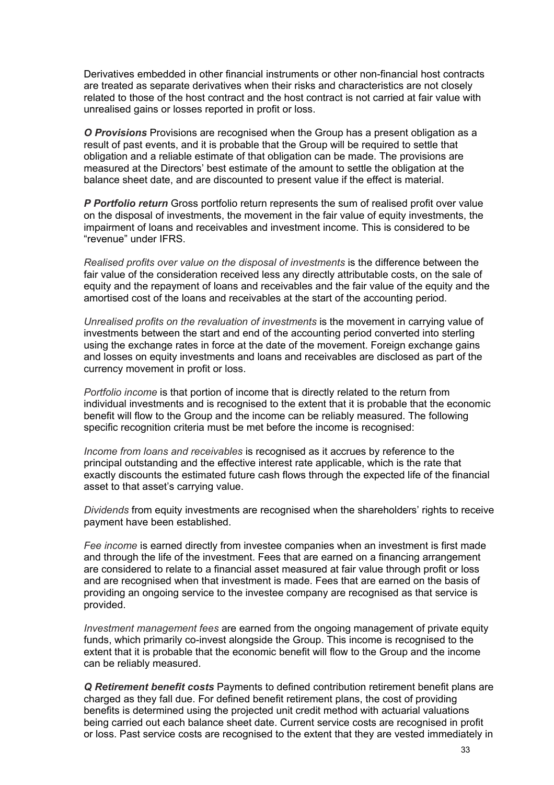Derivatives embedded in other financial instruments or other non-financial host contracts are treated as separate derivatives when their risks and characteristics are not closely related to those of the host contract and the host contract is not carried at fair value with unrealised gains or losses reported in profit or loss.

*O Provisions* Provisions are recognised when the Group has a present obligation as a result of past events, and it is probable that the Group will be required to settle that obligation and a reliable estimate of that obligation can be made. The provisions are measured at the Directors' best estimate of the amount to settle the obligation at the balance sheet date, and are discounted to present value if the effect is material.

*P Portfolio return* Gross portfolio return represents the sum of realised profit over value on the disposal of investments, the movement in the fair value of equity investments, the impairment of loans and receivables and investment income. This is considered to be "revenue" under IFRS.

*Realised profits over value on the disposal of investments* is the difference between the fair value of the consideration received less any directly attributable costs, on the sale of equity and the repayment of loans and receivables and the fair value of the equity and the amortised cost of the loans and receivables at the start of the accounting period.

*Unrealised profits on the revaluation of investments* is the movement in carrying value of investments between the start and end of the accounting period converted into sterling using the exchange rates in force at the date of the movement. Foreign exchange gains and losses on equity investments and loans and receivables are disclosed as part of the currency movement in profit or loss.

*Portfolio income* is that portion of income that is directly related to the return from individual investments and is recognised to the extent that it is probable that the economic benefit will flow to the Group and the income can be reliably measured. The following specific recognition criteria must be met before the income is recognised:

*Income from loans and receivables* is recognised as it accrues by reference to the principal outstanding and the effective interest rate applicable, which is the rate that exactly discounts the estimated future cash flows through the expected life of the financial asset to that asset's carrying value.

*Dividends* from equity investments are recognised when the shareholders' rights to receive payment have been established.

*Fee income* is earned directly from investee companies when an investment is first made and through the life of the investment. Fees that are earned on a financing arrangement are considered to relate to a financial asset measured at fair value through profit or loss and are recognised when that investment is made. Fees that are earned on the basis of providing an ongoing service to the investee company are recognised as that service is provided.

*Investment management fees* are earned from the ongoing management of private equity funds, which primarily co-invest alongside the Group. This income is recognised to the extent that it is probable that the economic benefit will flow to the Group and the income can be reliably measured.

*Q Retirement benefit costs* Payments to defined contribution retirement benefit plans are charged as they fall due. For defined benefit retirement plans, the cost of providing benefits is determined using the projected unit credit method with actuarial valuations being carried out each balance sheet date. Current service costs are recognised in profit or loss. Past service costs are recognised to the extent that they are vested immediately in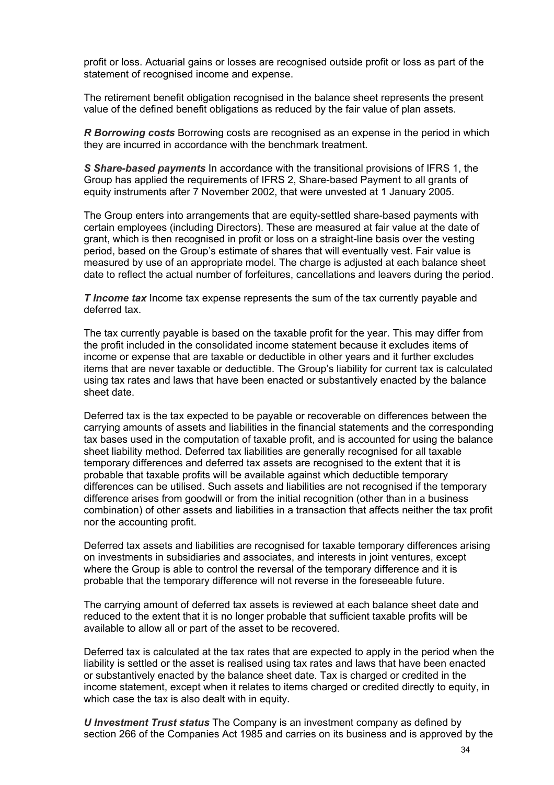profit or loss. Actuarial gains or losses are recognised outside profit or loss as part of the statement of recognised income and expense.

The retirement benefit obligation recognised in the balance sheet represents the present value of the defined benefit obligations as reduced by the fair value of plan assets.

*R Borrowing costs* Borrowing costs are recognised as an expense in the period in which they are incurred in accordance with the benchmark treatment.

*S Share-based payments* In accordance with the transitional provisions of IFRS 1, the Group has applied the requirements of IFRS 2, Share-based Payment to all grants of equity instruments after 7 November 2002, that were unvested at 1 January 2005.

The Group enters into arrangements that are equity-settled share-based payments with certain employees (including Directors). These are measured at fair value at the date of grant, which is then recognised in profit or loss on a straight-line basis over the vesting period, based on the Group's estimate of shares that will eventually vest. Fair value is measured by use of an appropriate model. The charge is adjusted at each balance sheet date to reflect the actual number of forfeitures, cancellations and leavers during the period.

*T Income tax* Income tax expense represents the sum of the tax currently payable and deferred tax.

The tax currently payable is based on the taxable profit for the year. This may differ from the profit included in the consolidated income statement because it excludes items of income or expense that are taxable or deductible in other years and it further excludes items that are never taxable or deductible. The Group's liability for current tax is calculated using tax rates and laws that have been enacted or substantively enacted by the balance sheet date.

Deferred tax is the tax expected to be payable or recoverable on differences between the carrying amounts of assets and liabilities in the financial statements and the corresponding tax bases used in the computation of taxable profit, and is accounted for using the balance sheet liability method. Deferred tax liabilities are generally recognised for all taxable temporary differences and deferred tax assets are recognised to the extent that it is probable that taxable profits will be available against which deductible temporary differences can be utilised. Such assets and liabilities are not recognised if the temporary difference arises from goodwill or from the initial recognition (other than in a business combination) of other assets and liabilities in a transaction that affects neither the tax profit nor the accounting profit.

Deferred tax assets and liabilities are recognised for taxable temporary differences arising on investments in subsidiaries and associates, and interests in joint ventures, except where the Group is able to control the reversal of the temporary difference and it is probable that the temporary difference will not reverse in the foreseeable future.

The carrying amount of deferred tax assets is reviewed at each balance sheet date and reduced to the extent that it is no longer probable that sufficient taxable profits will be available to allow all or part of the asset to be recovered.

Deferred tax is calculated at the tax rates that are expected to apply in the period when the liability is settled or the asset is realised using tax rates and laws that have been enacted or substantively enacted by the balance sheet date. Tax is charged or credited in the income statement, except when it relates to items charged or credited directly to equity, in which case the tax is also dealt with in equity.

*U Investment Trust status* The Company is an investment company as defined by section 266 of the Companies Act 1985 and carries on its business and is approved by the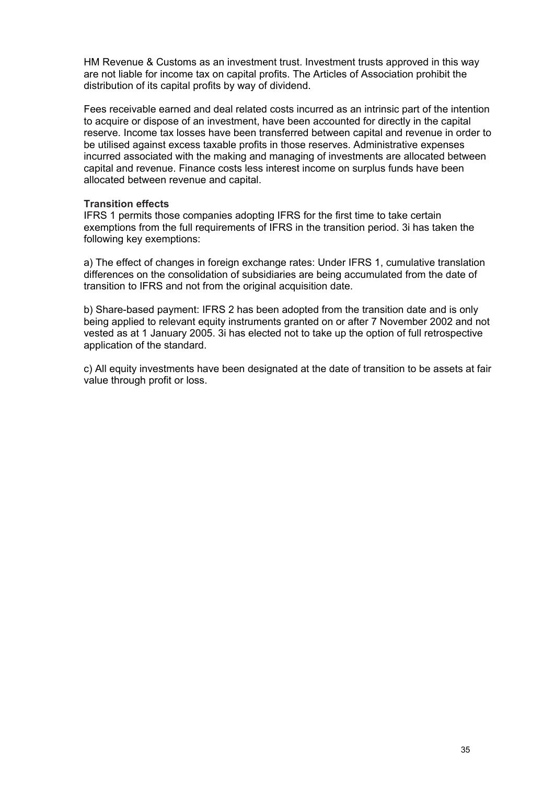HM Revenue & Customs as an investment trust. Investment trusts approved in this way are not liable for income tax on capital profits. The Articles of Association prohibit the distribution of its capital profits by way of dividend.

Fees receivable earned and deal related costs incurred as an intrinsic part of the intention to acquire or dispose of an investment, have been accounted for directly in the capital reserve. Income tax losses have been transferred between capital and revenue in order to be utilised against excess taxable profits in those reserves. Administrative expenses incurred associated with the making and managing of investments are allocated between capital and revenue. Finance costs less interest income on surplus funds have been allocated between revenue and capital.

### **Transition effects**

IFRS 1 permits those companies adopting IFRS for the first time to take certain exemptions from the full requirements of IFRS in the transition period. 3i has taken the following key exemptions:

a) The effect of changes in foreign exchange rates: Under IFRS 1, cumulative translation differences on the consolidation of subsidiaries are being accumulated from the date of transition to IFRS and not from the original acquisition date.

b) Share-based payment: IFRS 2 has been adopted from the transition date and is only being applied to relevant equity instruments granted on or after 7 November 2002 and not vested as at 1 January 2005. 3i has elected not to take up the option of full retrospective application of the standard.

c) All equity investments have been designated at the date of transition to be assets at fair value through profit or loss.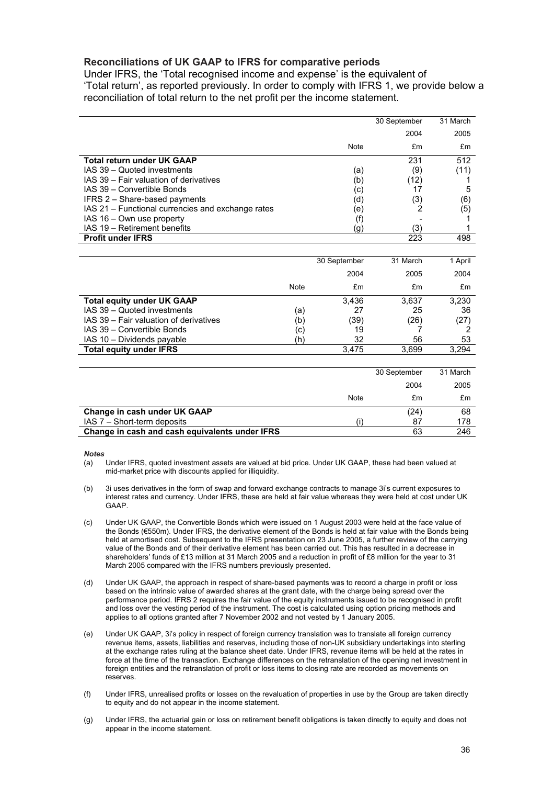#### **Reconciliations of UK GAAP to IFRS for comparative periods**

Under IFRS, the 'Total recognised income and expense' is the equivalent of 'Total return', as reported previously. In order to comply with IFRS 1, we provide below a reconciliation of total return to the net profit per the income statement.

|                                                   |              | 30 September | 31 March |
|---------------------------------------------------|--------------|--------------|----------|
|                                                   |              | 2004         | 2005     |
|                                                   | Note         | £m           | £m       |
| <b>Total return under UK GAAP</b>                 |              | 231          | 512      |
| IAS 39 - Quoted investments                       | (a)          | (9)          | (11)     |
| IAS 39 - Fair valuation of derivatives            | (b)          | (12)         |          |
| IAS 39 - Convertible Bonds                        | (c)          | 17           | 5        |
| IFRS 2 – Share-based payments                     | (d)          | (3)          | (6)      |
| IAS 21 – Functional currencies and exchange rates | (e)          | 2            | (5)      |
| IAS 16 - Own use property                         | (f)          |              |          |
| IAS 19 - Retirement benefits                      | (g)          | (3)          |          |
| <b>Profit under IFRS</b>                          |              | 223          | 498      |
|                                                   | 30 September | 31 March     | 1 April  |

|                                        |             | 2004  | 2005  | 2004  |
|----------------------------------------|-------------|-------|-------|-------|
|                                        | <b>Note</b> | £m    | £m    | £m    |
| <b>Total equity under UK GAAP</b>      |             | 3.436 | 3.637 | 3,230 |
| IAS 39 - Quoted investments            | (a)         | 27    | 25    | 36    |
| IAS 39 – Fair valuation of derivatives | (b)         | (39)  | (26)  | (27)  |
| IAS 39 - Convertible Bonds             | (c)         | 19    |       |       |
| IAS 10 - Dividends payable             | (h)         | 32    | 56    | 53    |
| <b>Total equity under IFRS</b>         |             | 3.475 | 3.699 | 3.294 |

|                                                |      | 30 September | 31 March |
|------------------------------------------------|------|--------------|----------|
|                                                |      | 2004         | 2005     |
|                                                | Note | £m           | £m       |
| Change in cash under UK GAAP                   |      | (24)         | 68       |
| IAS 7 - Short-term deposits                    |      | 87           | 178      |
| Change in cash and cash equivalents under IFRS |      | 63           | 246      |

#### *Notes*

- (a) Under IFRS, quoted investment assets are valued at bid price. Under UK GAAP, these had been valued at mid-market price with discounts applied for illiquidity.
- (b) 3i uses derivatives in the form of swap and forward exchange contracts to manage 3i's current exposures to interest rates and currency. Under IFRS, these are held at fair value whereas they were held at cost under UK GAAP.
- (c) Under UK GAAP, the Convertible Bonds which were issued on 1 August 2003 were held at the face value of the Bonds (€550m). Under IFRS, the derivative element of the Bonds is held at fair value with the Bonds being held at amortised cost. Subsequent to the IFRS presentation on 23 June 2005, a further review of the carrying value of the Bonds and of their derivative element has been carried out. This has resulted in a decrease in shareholders' funds of £13 million at 31 March 2005 and a reduction in profit of £8 million for the year to 31 March 2005 compared with the IFRS numbers previously presented.
- (d) Under UK GAAP, the approach in respect of share-based payments was to record a charge in profit or loss based on the intrinsic value of awarded shares at the grant date, with the charge being spread over the performance period. IFRS 2 requires the fair value of the equity instruments issued to be recognised in profit and loss over the vesting period of the instrument. The cost is calculated using option pricing methods and applies to all options granted after 7 November 2002 and not vested by 1 January 2005.
- (e) Under UK GAAP, 3i's policy in respect of foreign currency translation was to translate all foreign currency revenue items, assets, liabilities and reserves, including those of non-UK subsidiary undertakings into sterling at the exchange rates ruling at the balance sheet date. Under IFRS, revenue items will be held at the rates in force at the time of the transaction. Exchange differences on the retranslation of the opening net investment in foreign entities and the retranslation of profit or loss items to closing rate are recorded as movements on reserves.
- (f) Under IFRS, unrealised profits or losses on the revaluation of properties in use by the Group are taken directly to equity and do not appear in the income statement.
- (g) Under IFRS, the actuarial gain or loss on retirement benefit obligations is taken directly to equity and does not appear in the income statement.